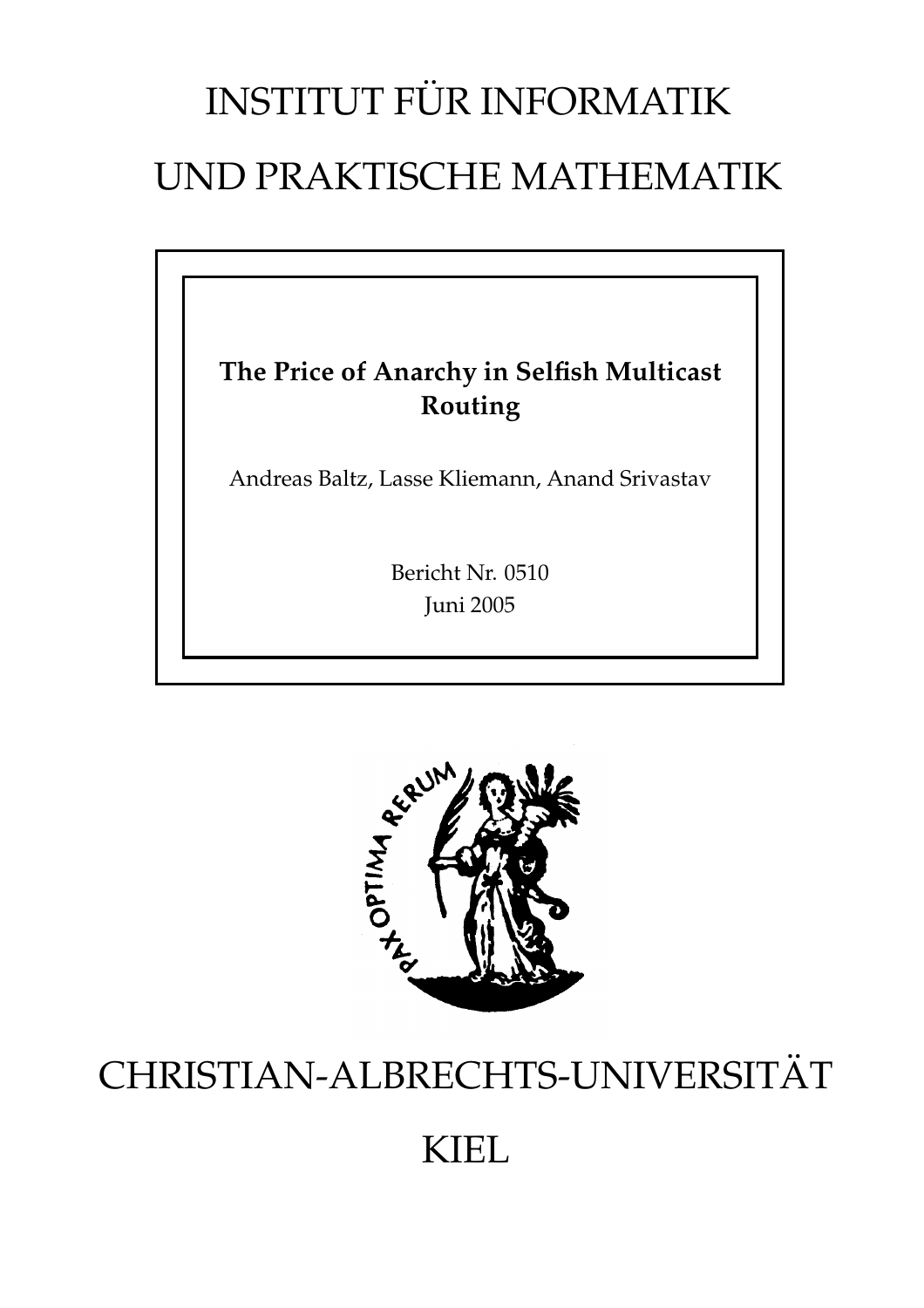# INSTITUT FÜR INFORMATIK UND PRAKTISCHE MATHEMATIK

### **The Price of Anarchy in Selfish Multicast Routing**

Andreas Baltz, Lasse Kliemann, Anand Srivastav

Bericht Nr. 0510 Juni 2005



## CHRISTIAN-ALBRECHTS-UNIVERSITAT¨

## KIEL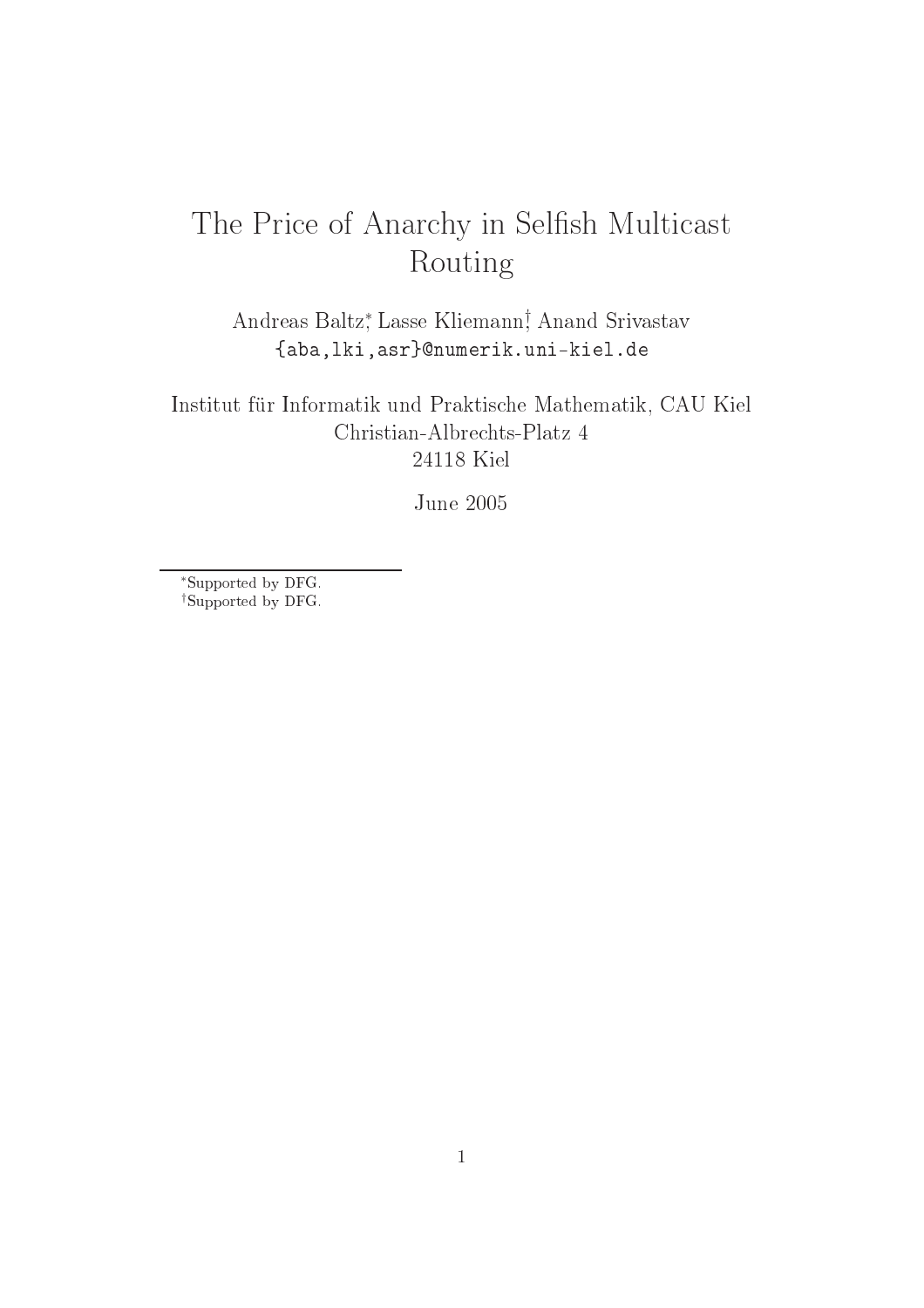## The Price of Anarchy in Selfish Multicast Routing

Andreas Baltz∗ , Lasse Kliemann† , Anand Srivastav {aba,lki,asr}numerik.uni-kiel.de

Institut für Informatik und Praktis
he Mathematik, CAU Kiel Christian-Albre
hts-Platz 4 24118 Kiel

June 2005

∗Supported by DFG. †Supported by DFG.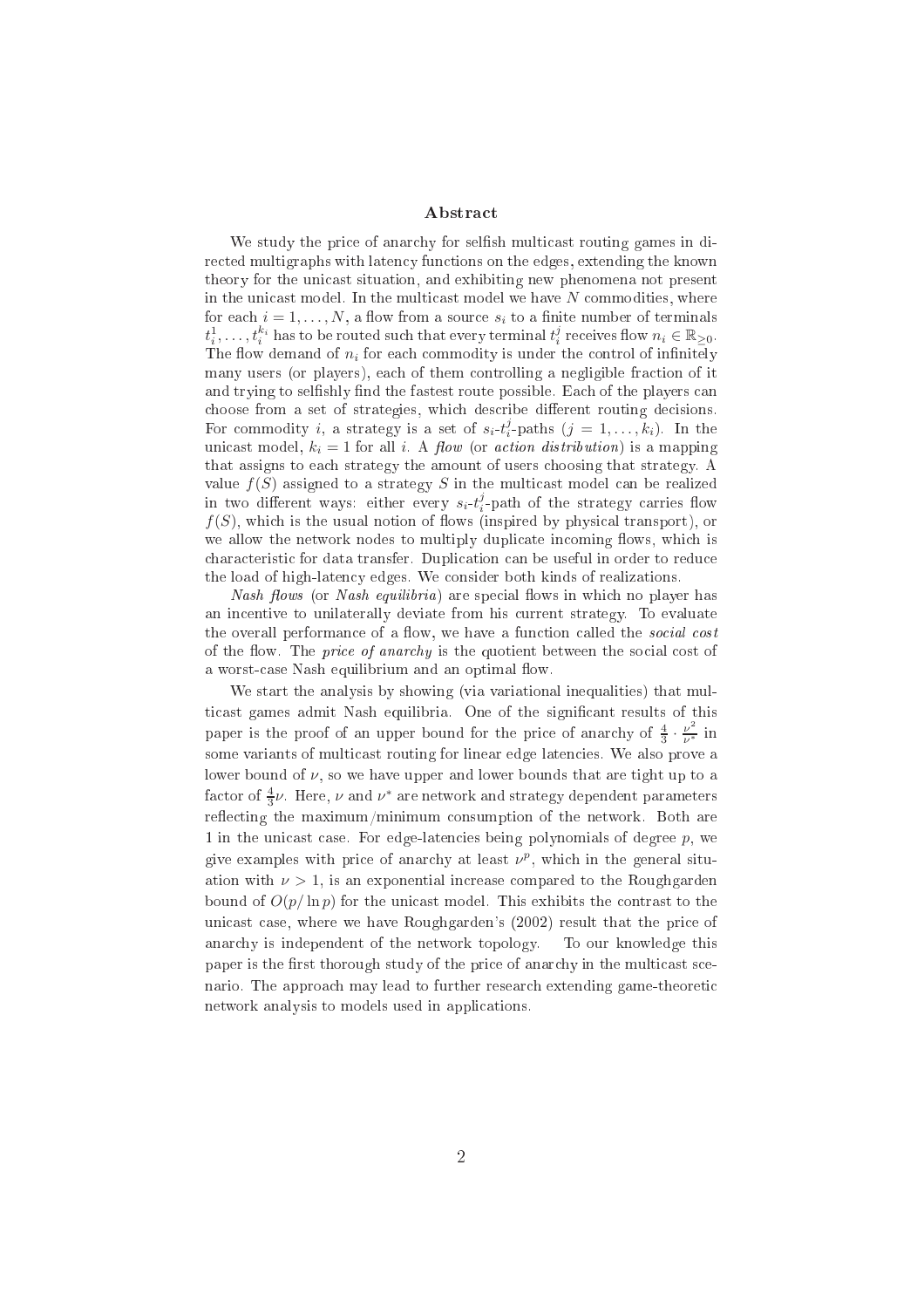#### **Abstract**

We study the price of anarchy for selfish multicast routing games in dire
ted multigraphs with laten
y fun
tions on the edges, extending the known theory for the unicast situation, and exhibiting new phenomena not present in the unicast model. In the multicast model we have  $N$  commodities, where for each  $i = 1, \ldots, N$ , a flow from a source  $s_i$  to a finite number of terminals  $t_i^1, \ldots, t_i^{k_i}$  has to be routed such that every terminal  $t_i^j$  receives flow  $n_i \in \mathbb{R}_{\geq 0}$ . The flow demand of  $n_i$  for each commodity is under the control of infinitely many users (or players), each of them controlling a negligible fraction of it and trying to selfishly find the fastest route possible. Each of the players can choose from a set of strategies, which describe different routing decisions. For commodity *i*, a strategy is a set of  $s_i-t_i^j$ -paths  $(j = 1, ..., k_i)$ . In the unicast model,  $k_i = 1$  for all i. A flow (or action distribution) is a mapping that assigns to ea
h strategy the amount of users hoosing that strategy. A value  $f(S)$  assigned to a strategy S in the multicast model can be realized in two different ways: either every  $s_i-t_i^j$ -path of the strategy carries flow  $f(S)$ , which is the usual notion of flows (inspired by physical transport), or we allow the network nodes to multiply duplicate incoming flows, which is characteristic for data transfer. Duplication can be useful in order to reduce the load of high-laten
y edges. We onsider both kinds of realizations.

*Nash flows* (or *Nash equilibria*) are special flows in which no player has an in
entive to unilaterally deviate from his urrent strategy. To evaluate the overall performance of a flow, we have a function called the *social cost* of the flow. The *price of anarchy* is the quotient between the social cost of a worst-case Nash equilibrium and an optimal flow.

We start the analysis by showing (via variational inequalities) that multicast games admit Nash equilibria. One of the significant results of this paper is the proof of an upper bound for the price of anarchy of  $\frac{4}{3} \cdot \frac{\nu^2}{\nu^*}$  $\overline{\nu^*}$  in some variants of multicast routing for linear edge latencies. We also prove a lower bound of  $\nu$ , so we have upper and lower bounds that are tight up to a factor of  $\frac{4}{3}\nu$ . Here,  $\nu$  and  $\nu^*$  are network and strategy dependent parameters reflecting the maximum/minimum consumption of the network. Both are 1 in the unicast case. For edge-latencies being polynomials of degree p, we give examples with price of anarchy at least  $\nu^p$ , which in the general situation with  $\nu > 1$ , is an exponential increase compared to the Roughgarden bound of  $O(p/\ln p)$  for the unicast model. This exhibits the contrast to the unicast case, where we have Roughgarden's (2002) result that the price of anar
hy is independent of the network topology. To our knowledge this paper is the first thorough study of the price of anarchy in the multicast scenario. The approa
h may lead to further resear
h extending game-theoreti network analysis to models used in appli
ations.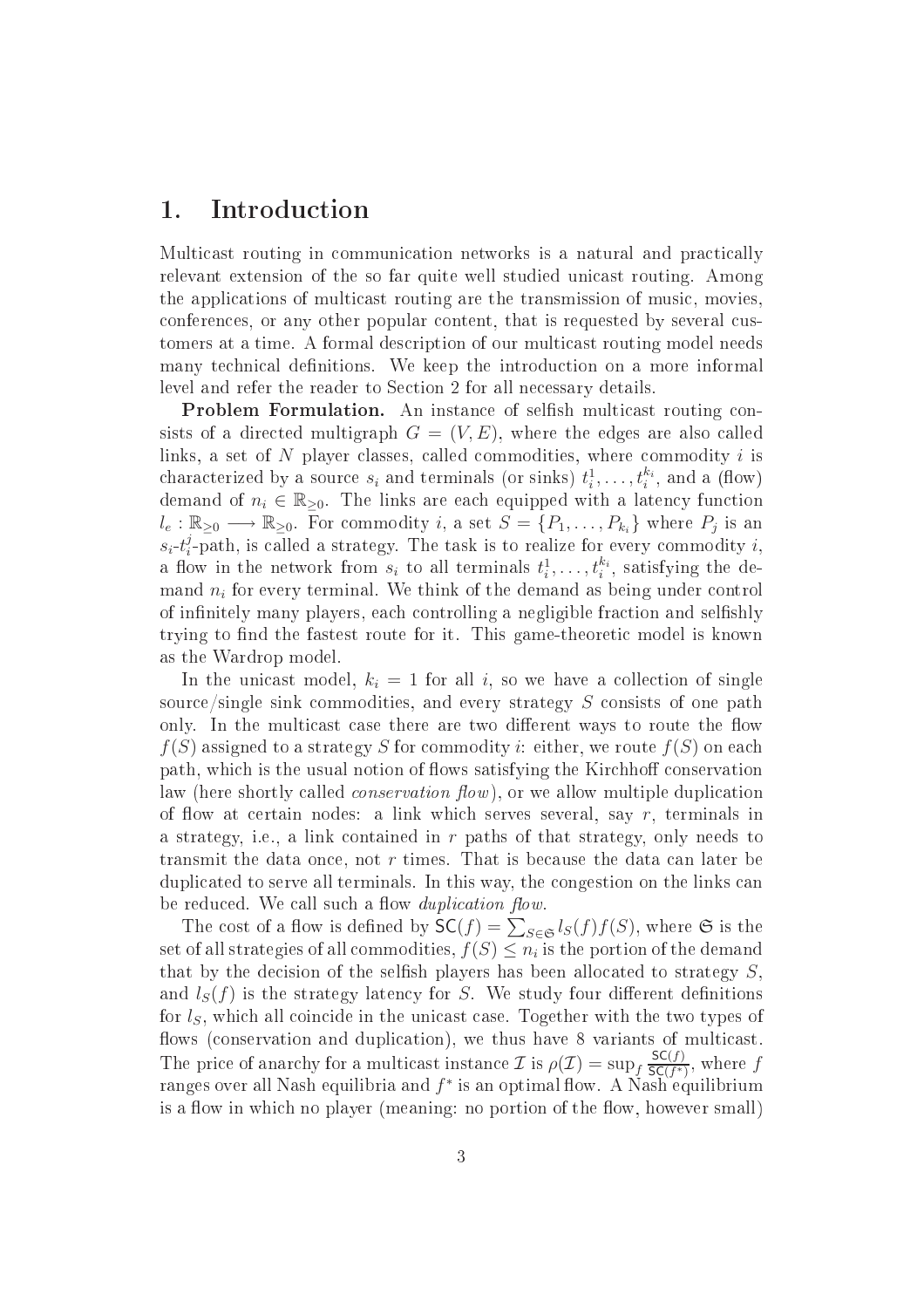### 1. Introduction

Multicast routing in communication networks is a natural and practically relevant extension of the so far quite well studied unicast routing. Among the applications of multicast routing are the transmission of music, movies. onferen
es, or any other popular ontent, that is requested by several ustomers at a time. A formal des
ription of our multi
ast routing model needs many technical definitions. We keep the introduction on a more informal level and refer the reader to Section 2 for all necessary details.

Problem Formulation. An instan
e of selsh multi
ast routing onsists of a directed multigraph  $G = (V, E)$ , where the edges are also called links, a set of  $N$  player classes, called commodities, where commodity  $i$  is characterized by a source  $s_i$  and terminals (or sinks)  $t_i^1, \ldots, t_i^{k_i}$ , and a (flow) demand of  $n_i \in \mathbb{R}_{\geq 0}$ . The links are each equipped with a latency function  $l_e: \mathbb{R}_{\geq 0} \longrightarrow \mathbb{R}_{\geq 0}$ . For commodity i, a set  $S = \{P_1, \ldots, P_{k_i}\}$  where  $P_j$  is an  $s_i-t_i^j$  $i<sub>i</sub>$ -path, is called a strategy. The task is to realize for every commodity i, a flow in the network from  $s_i$  to all terminals  $t_i^1, \ldots, t_i^{k_i}$ , satisfying the demand  $n_i$  for every terminal. We think of the demand as being under control of infinitely many players, each controlling a negligible fraction and selfishly trying to find the fastest route for it. This game-theoretic model is known as the Wardrop model.

In the unicast model,  $k_i = 1$  for all i, so we have a collection of single source/single sink commodities, and every strategy S consists of one path only. In the multicast case there are two different ways to route the flow  $f(S)$  assigned to a strategy S for commodity *i*: either, we route  $f(S)$  on each path, which is the usual notion of flows satisfying the Kirchhoff conservation law (here shortly called *conservation flow*), or we allow multiple duplication of flow at certain nodes: a link which serves several, say  $r$ , terminals in a strategy, i.e., a link contained in r paths of that strategy, only needs to transmit the data once, not  $r$  times. That is because the data can later be duplicated to serve all terminals. In this way, the congestion on the links can be reduced. We call such a flow *duplication flow*.

The cost of a flow is defined by  $\mathsf{SC}(f) = \sum_{S \in \mathfrak{S}} l_S(f) f(S)$ , where  $\mathfrak{S}$  is the set of all strategies of all commodities,  $f(S) \leq n_i$  is the portion of the demand that by the decision of the selfish players has been allocated to strategy  $S$ . and  $l_S(f)$  is the strategy latency for S. We study four different definitions for  $l<sub>S</sub>$ , which all coincide in the unicast case. Together with the two types of flows (conservation and duplication), we thus have 8 variants of multicast. The price of anarchy for a multicast instance  $\mathcal{I}$  is  $\rho(\mathcal{I}) = \sup_f \frac{\mathsf{SC}(f)}{\mathsf{SC}(f^*)}$  $\frac{\mathsf{SC}(f)}{\mathsf{SC}(f^*)}$ , where f ranges over all Nash equilibria and  $f^*$  is an optimal flow. A Nash equilibrium is a flow in which no player (meaning: no portion of the flow, however small)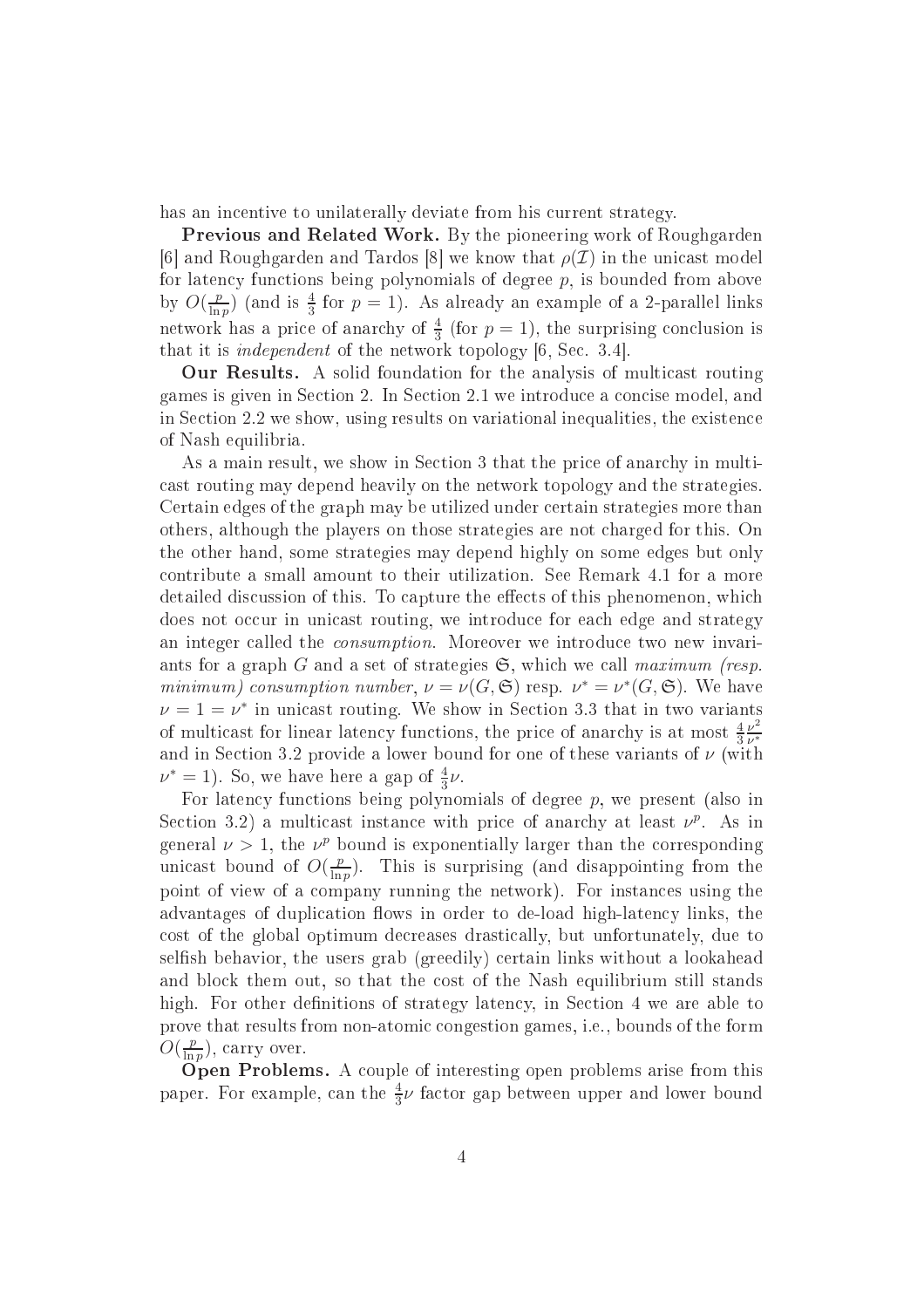has an incentive to unilaterally deviate from his current strategy.

Previous and Related Work. By the pioneering work of Roughgarden [6] and Roughgarden and Tardos [8] we know that  $\rho(\mathcal{I})$  in the unicast model for latency functions being polynomials of degree  $p$ , is bounded from above by  $O(\frac{p}{\ln n})$  $\frac{p}{\ln p}$  (and is  $\frac{4}{3}$  for  $p=1$ ). As already an example of a 2-parallel links network has a price of anarchy of  $\frac{4}{3}$  (for  $p=1$ ), the surprising conclusion is that it is *independent* of the network topology  $[6, Sec. 3.4]$ .

our communities are solid foundation for the analysis of multiples. The multiples of multiples of multiples of games is given in Se
tion 2. In Se
tion 2.1 we introdu
e a on
ise model, and in Se
tion 2.2 we show, using results on variational inequalities, the existen
e of Nash equilibria.

As a main result, we show in Section 3 that the price of anarchy in multiast routing may depend heavily on the network topology and the strategies. Certain edges of the graph may be utilized under ertain strategies more than others, although the players on those strategies are not harged for this. On the other hand, some strategies may depend highly on some edges but only ontribute a small amount to their utilization. See Remark 4.1 for a more detailed discussion of this. To capture the effects of this phenomenon, which does not occur in unicast routing, we introduce for each edge and strategy an integer called the *consumption*. Moreover we introduce two new invariants for a graph G and a set of strategies  $\mathfrak{S}$ , which we call maximum (resp. minimum) consumption number,  $\nu = \nu(G, \mathfrak{S})$  resp.  $\nu^* = \nu^*(G, \mathfrak{S})$ . We have  $\nu = 1 = \nu^*$  in unicast routing. We show in Section 3.3 that in two variants of multicast for linear latency functions, the price of anarchy is at most  $\frac{4}{3}$  $\nu^2$ ν ∗ and in Section 3.2 provide a lower bound for one of these variants of  $\nu$  (with  $\nu^* = 1$ ). So, we have here a gap of  $\frac{4}{3}\nu$ .

For latency functions being polynomials of degree  $p$ , we present (also in Section 3.2) a multicast instance with price of anarchy at least  $\nu^p$ . As in general  $\nu > 1$ , the  $\nu^p$  bound is exponentially larger than the corresponding unicast bound of  $O(\frac{p}{\ln n})$  $\frac{p}{\ln p}$ ). This is surprising (and disappointing from the point of view of a ompany running the network). For instan
es using the advantages of duplication flows in order to de-load high-latency links, the ost of the global optimum de
reases drasti
ally, but unfortunately, due to selfish behavior, the users grab (greedily) certain links without a lookahead and block them out, so that the cost of the Nash equilibrium still stands high. For other definitions of strategy latency, in Section 4 we are able to prove that results from non-atomic congestion games, i.e., bounds of the form  $O(\frac{p}{\ln n})$  $\frac{p}{\ln p}$ ), carry over.

Open Problems. A ouple of interesting open problems arise from this paper. For example, can the  $\frac{4}{3}\nu$  factor gap between upper and lower bound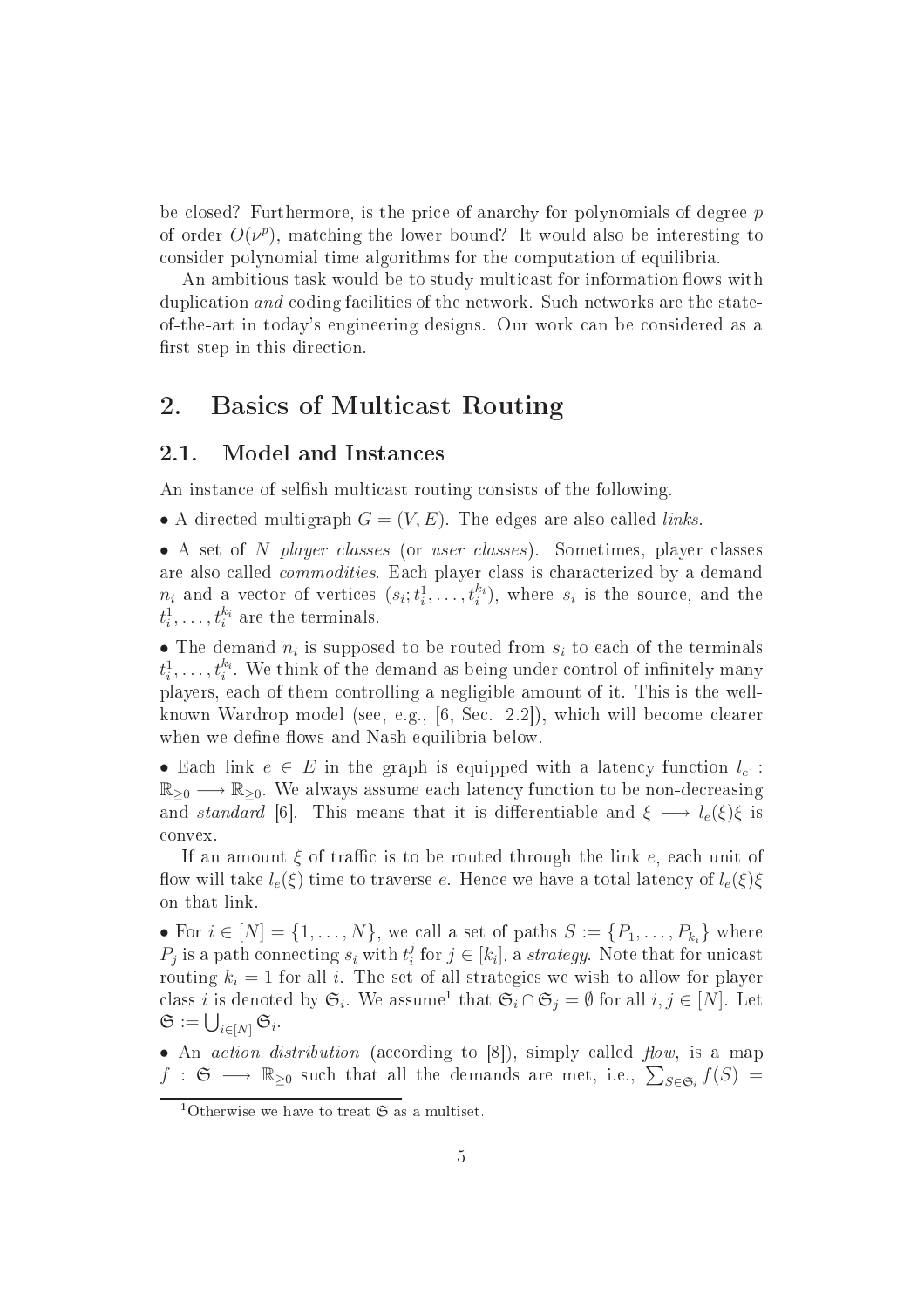be closed? Furthermore, is the price of anarchy for polynomials of degree p of order  $O(\nu^p)$ , matching the lower bound? It would also be interesting to onsider polynomial time algorithms for the omputation of equilibria.

An ambitious task would be to study multicast for information flows with duplication and coding facilities of the network. Such networks are the stateof-the-art in today's engineering designs. Our work an be onsidered as a first step in this direction.

### 2. Basi
s of Multi
ast Routing

#### 2.1. Model and Instan
es

An instance of selfish multicast routing consists of the following.

• A directed multigraph  $G = (V, E)$ . The edges are also called *links*.

• A set of N player classes (or user classes). Sometimes, player classes are also called *commodities*. Each player class is characterized by a demand  $n_i$  and a vector of vertices  $(s_i; t_i^1, \ldots, t_i^{k_i})$ , where  $s_i$  is the source, and the  $t_i^1, \ldots, t_i^{k_i}$  are the terminals.

• The demand  $n_i$  is supposed to be routed from  $s_i$  to each of the terminals  $t_i^1, \ldots, t_i^{k_i}$ . We think of the demand as being under control of infinitely many players, ea
h of them ontrolling a negligible amount of it. This is the wellknown Wardrop model (see, e.g., [6, Sec. 2.2]), which will become clearer when we define flows and Nash equilibria below.

• Each link  $e \in E$  in the graph is equipped with a latency function  $l_e$ :  $\mathbb{R}_{\geq 0} \longrightarrow \mathbb{R}_{\geq 0}$ . We always assume each latency function to be non-decreasing and standard [6]. This means that it is differentiable and  $\xi \mapsto l_e(\xi)\xi$  is onvex.

If an amount  $\xi$  of traffic is to be routed through the link e, each unit of flow will take  $l_e(\xi)$  time to traverse e. Hence we have a total latency of  $l_e(\xi)\xi$ on that link.

• For  $i \in [N] = \{1, \ldots, N\}$ , we call a set of paths  $S := \{P_1, \ldots, P_{k_i}\}$  where  $P_j$  is a path connecting  $s_i$  with  $t_i^j$  $i$  for  $j \in [k_i]$ , a strategy. Note that for unicast routing  $k_i = 1$  for all i. The set of all strategies we wish to allow for player class *i* is denoted by  $\mathfrak{S}_i$ . We assume<sup>1</sup> that  $\mathfrak{S}_i \cap \mathfrak{S}_j = \emptyset$  for all  $i, j \in [N]$ . Let  $\mathfrak{S} := \bigcup_{i \in [N]} \mathfrak{S}_i.$ 

• An *action distribution* (according to  $[8]$ ), simply called *flow*, is a map  $f : \mathfrak{S} \longrightarrow \mathbb{R}_{\geq 0}$  such that all the demands are met, i.e.,  $\sum_{S \in \mathfrak{S}_i} f(S) =$ 

<sup>&</sup>lt;sup>1</sup>Otherwise we have to treat  $\mathfrak S$  as a multiset.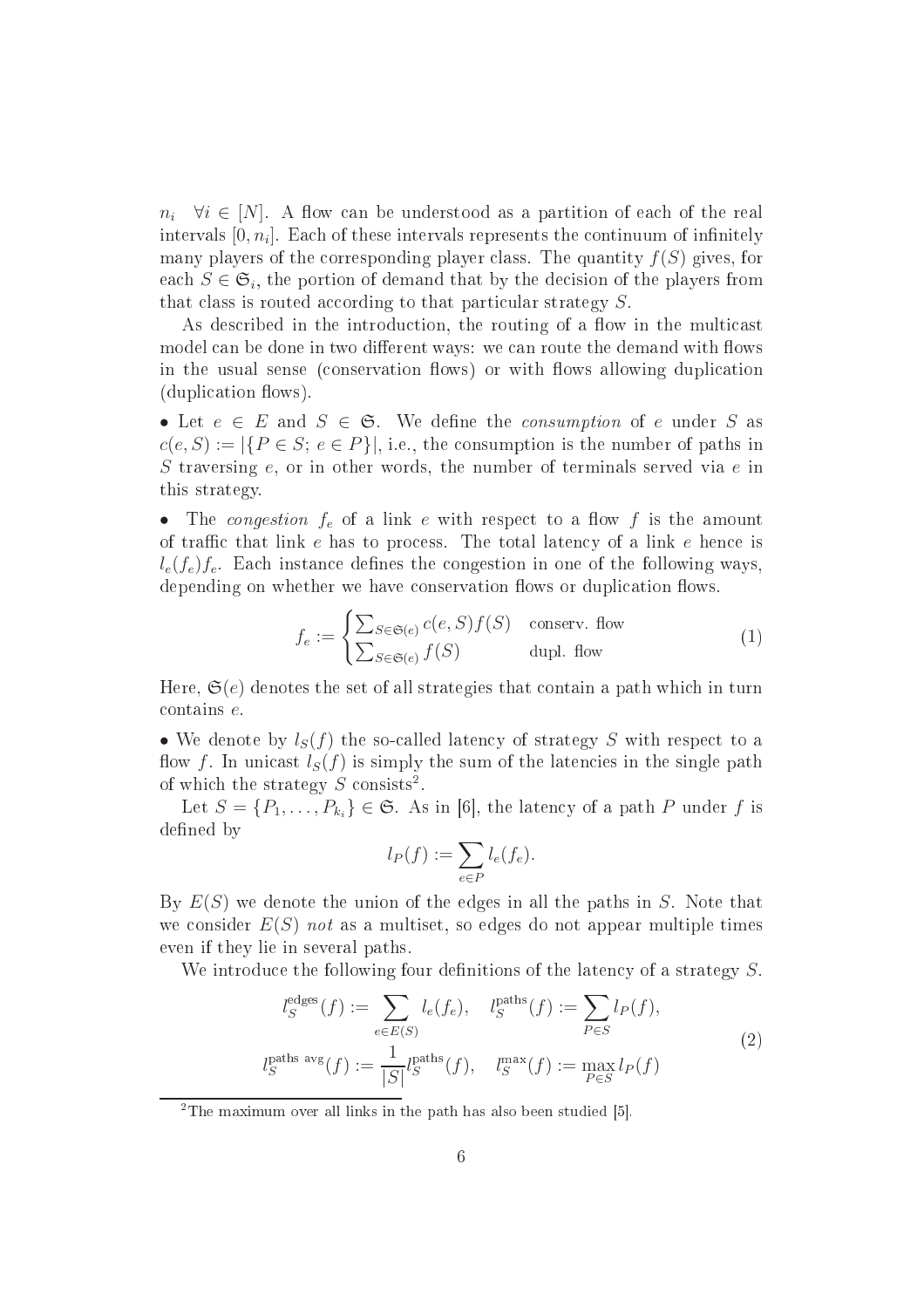$n_i \quad \forall i \in [N]$ . A flow can be understood as a partition of each of the real intervals  $[0,n_i]$ . Each of these intervals represents the continuum of infinitely many players of the corresponding player class. The quantity  $f(S)$  gives, for each  $S \in \mathfrak{S}_i$ , the portion of demand that by the decision of the players from that class is routed according to that particular strategy  $S$ .

As described in the introduction, the routing of a flow in the multicast model can be done in two different ways: we can route the demand with flows in the usual sense (conservation flows) or with flows allowing duplication (duplication flows).

• Let  $e \in E$  and  $S \in \mathfrak{S}$ . We define the *consumption* of e under S as  $c(e, S) := |\{P \in S; e \in P\}|$ , i.e., the consumption is the number of paths in S traversing  $e$ , or in other words, the number of terminals served via  $e$  in this strategy.

• The congestion  $f_e$  of a link e with respect to a flow f is the amount of traffic that link  $e$  has to process. The total latency of a link  $e$  hence is  $l_e(f_e)f_e$ . Each instance defines the congestion in one of the following ways, depending on whether we have conservation flows or duplication flows.

$$
f_e := \begin{cases} \sum_{S \in \mathfrak{S}(e)} c(e, S) f(S) & \text{conserv. flow} \\ \sum_{S \in \mathfrak{S}(e)} f(S) & \text{dupl. flow} \end{cases}
$$
 (1)

Here,  $\mathfrak{S}(e)$  denotes the set of all strategies that contain a path which in turn ontains e.

• We denote by  $l_S(f)$  the so-called latency of strategy S with respect to a flow f. In unicast  $l_S(f)$  is simply the sum of the latencies in the single path of which the strategy  $S$  consists<sup>2</sup>.

Let  $S = \{P_1, \ldots, P_{k_i}\} \in \mathfrak{S}$ . As in [6], the latency of a path P under f is defined by

$$
l_P(f) := \sum_{e \in P} l_e(f_e).
$$

By  $E(S)$  we denote the union of the edges in all the paths in S. Note that we consider  $E(S)$  not as a multiset, so edges do not appear multiple times even if they lie in several paths.

We introduce the following four definitions of the latency of a strategy  $S$ .

$$
l_S^{\text{edges}}(f) := \sum_{e \in E(S)} l_e(f_e), \quad l_S^{\text{paths}}(f) := \sum_{P \in S} l_P(f),
$$
  

$$
l_S^{\text{paths avg}}(f) := \frac{1}{|S|} l_S^{\text{paths}}(f), \quad l_S^{\text{max}}(f) := \max_{P \in S} l_P(f)
$$
 (2)

<sup>2</sup>The maximum over all links in the path has also been studied  $[5]$ .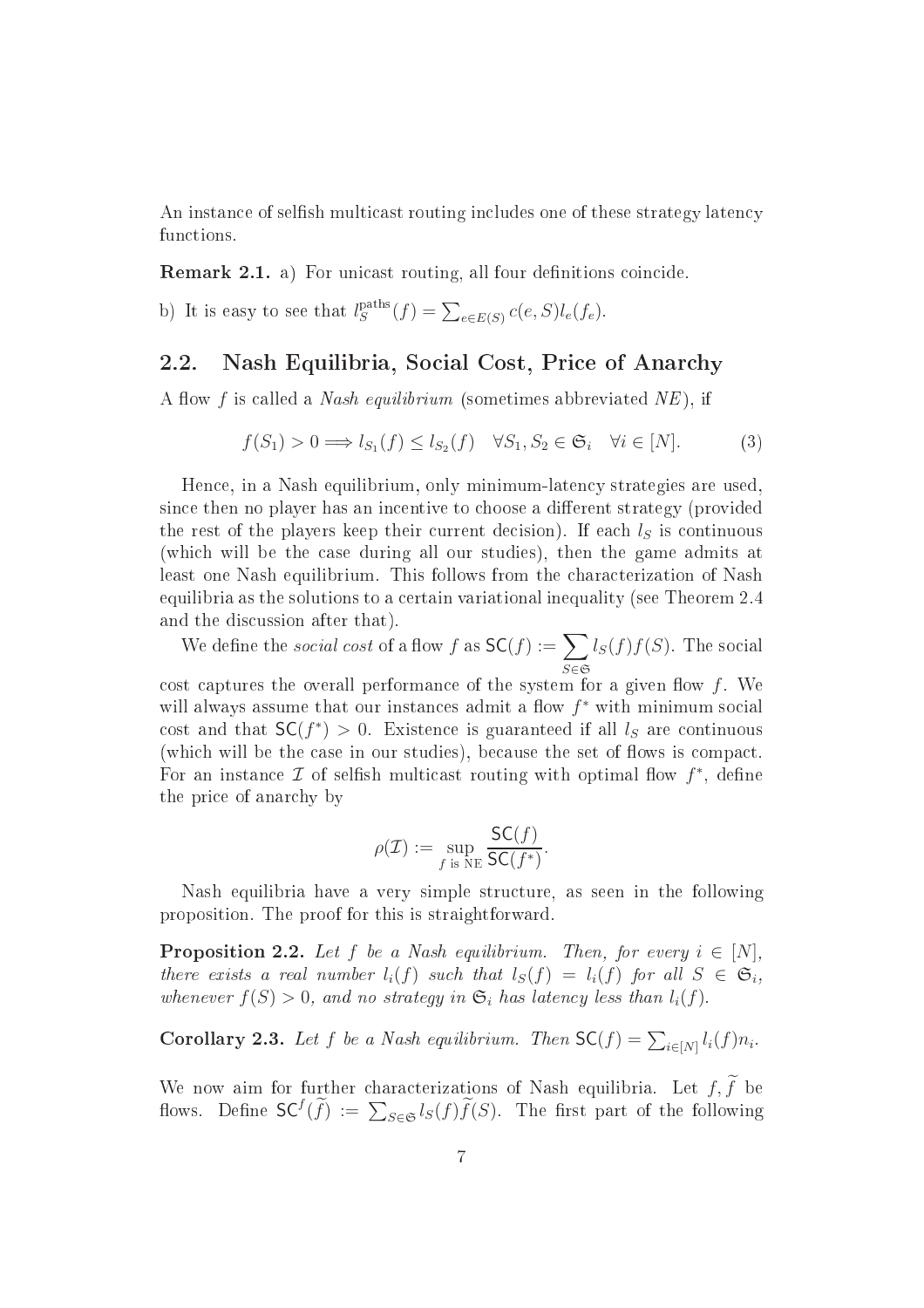An instance of selfish multicast routing includes one of these strategy latency functions.

Remark 2.1. a) For uni
ast routing, all four denitions oin
ide.

b) It is easy to see that  $l_S^{\text{paths}}(f) = \sum_{e \in E(S)} c(e, S) l_e(f_e)$ .

#### 2.2. Nash Equilibria, So
ial Cost, Pri
e of Anar
hy

A flow f is called a *Nash equilibrium* (sometimes abbreviated  $NE$ ), if

$$
f(S_1) > 0 \Longrightarrow l_{S_1}(f) \le l_{S_2}(f) \quad \forall S_1, S_2 \in \mathfrak{S}_i \quad \forall i \in [N]. \tag{3}
$$

Hence, in a Nash equilibrium, only minimum-latency strategies are used. since then no player has an incentive to choose a different strategy (provided the rest of the players keep their current decision). If each  $l<sub>S</sub>$  is continuous (whi
h will be the ase during all our studies), then the game admits at least one Nash equilibrium. This follows from the characterization of Nash equilibria as the solutions to a ertain variational inequality (see Theorem 2.4 and the dis
ussion after that).

We define the *social cost* of a flow f as  $SC(f) := \sum$ S∈S  $l_S(f)f(S)$ . The social cost captures the overall performance of the system for a given flow  $f$ . We will always assume that our instances admit a flow  $f^*$  with minimum social cost and that  $SC(f^*) > 0$ . Existence is guaranteed if all  $l_S$  are continuous (which will be the case in our studies), because the set of flows is compact. For an instance  $\mathcal I$  of selfish multicast routing with optimal flow  $f^*$ , define the pri
e of anar
hy by

$$
\rho(\mathcal{I}) := \sup_{f \text{ is NE}} \frac{\mathsf{SC}(f)}{\mathsf{SC}(f^*)}.
$$

Nash equilibria have a very simple stru
ture, as seen in the following proposition. The proof for this is straightforward.

**Proposition 2.2.** Let f be a Nash equilibrium. Then, for every  $i \in [N]$ , there exists a real number  $l_i(f)$  such that  $l_S(f) = l_i(f)$  for all  $S \in \mathfrak{S}_i$ , whenever  $f(S) > 0$ , and no strategy in  $\mathfrak{S}_i$  has latency less than  $l_i(f)$ .

**Corollary 2.3.** Let f be a Nash equilibrium. Then  $SC(f) = \sum_{i \in [N]} l_i(f) n_i$ .

We now aim for further characterizations of Nash equilibria. Let  $f, \tilde{f}$  be flows. Define  $\mathsf{SC}^f(\widetilde{f}) := \sum_{S \in \mathfrak{S}} l_S(f) \widetilde{f}(S)$ . The first part of the following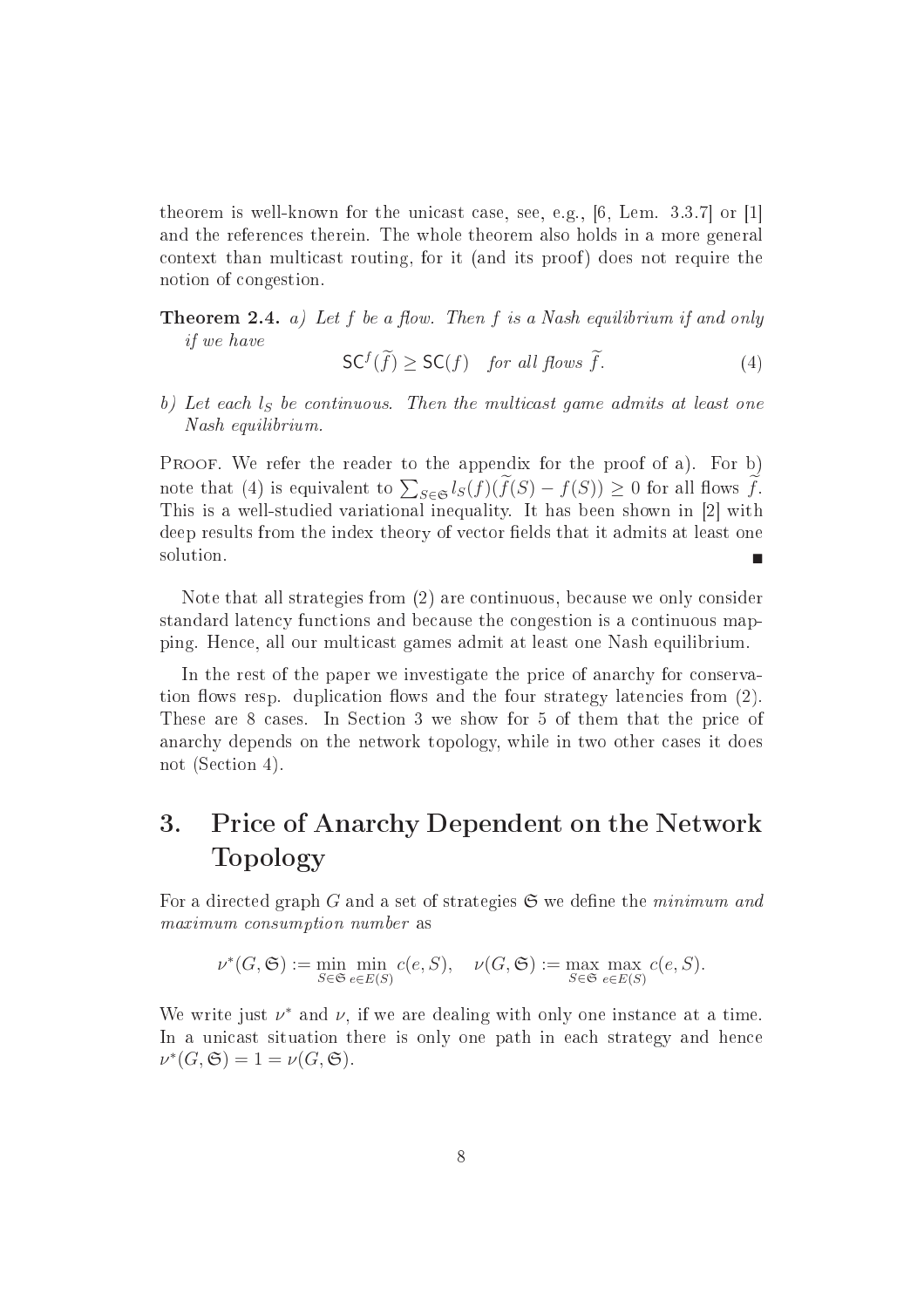theorem is well-known for the unicast case, see, e.g.,  $[6, \text{ Lem. } 3.3.7]$  or  $[1]$ and the referen
es therein. The whole theorem also holds in a more general context than multicast routing, for it (and its proof) does not require the notion of ongestion.

**Theorem 2.4.** a) Let  $f$  be a flow. Then  $f$  is a Nash equilibrium if and only if we have

$$
\mathsf{SC}^f(\widetilde{f}) \geq \mathsf{SC}(f) \quad \text{for all flows } \widetilde{f}. \tag{4}
$$

b) Let each  $l_s$  be continuous. Then the multicast game admits at least one Nash equilibrium.

PROOF. We refer the reader to the appendix for the proof of a). For b) note that (4) is equivalent to  $\sum_{S \in \mathfrak{S}} l_S(f)(\widetilde{f}(S) - f(S)) \geq 0$  for all flows  $\widetilde{f}$ . This is a well-studied variation interesting interesting interesting to the first interesting the  $\mathbb{Z}^2$  with deep results from the index theory of vector fields that it admits at least one solution.

Note that all strategies from (2) are continuous, because we only consider standard laten
y fun
tions and be
ause the ongestion is a ontinuous mapping. Hen
e, all our multi
ast games admit at least one Nash equilibrium.

In the rest of the paper we investigate the price of anarchy for conservation flows resp. duplication flows and the four strategy latencies from (2). These are 8 cases. In Section 3 we show for 5 of them that the price of anar
hy depends on the network topology, while in two other ases it does not (Section 4).

#### Price of Anarchy Dependent on the Network 3. Topology

For a directed graph G and a set of strategies  $\mathfrak S$  we define the minimum and maximum onsumption number as

$$
\nu^*(G, \mathfrak{S}) := \min_{S \in \mathfrak{S}} \min_{e \in E(S)} c(e, S), \quad \nu(G, \mathfrak{S}) := \max_{S \in \mathfrak{S}} \max_{e \in E(S)} c(e, S).
$$

We write just  $\nu^*$  and  $\nu$ , if we are dealing with only one instance at a time. In a unicast situation there is only one path in each strategy and hence  $\nu^*(G, \mathfrak{S}) = 1 = \nu(G, \mathfrak{S}).$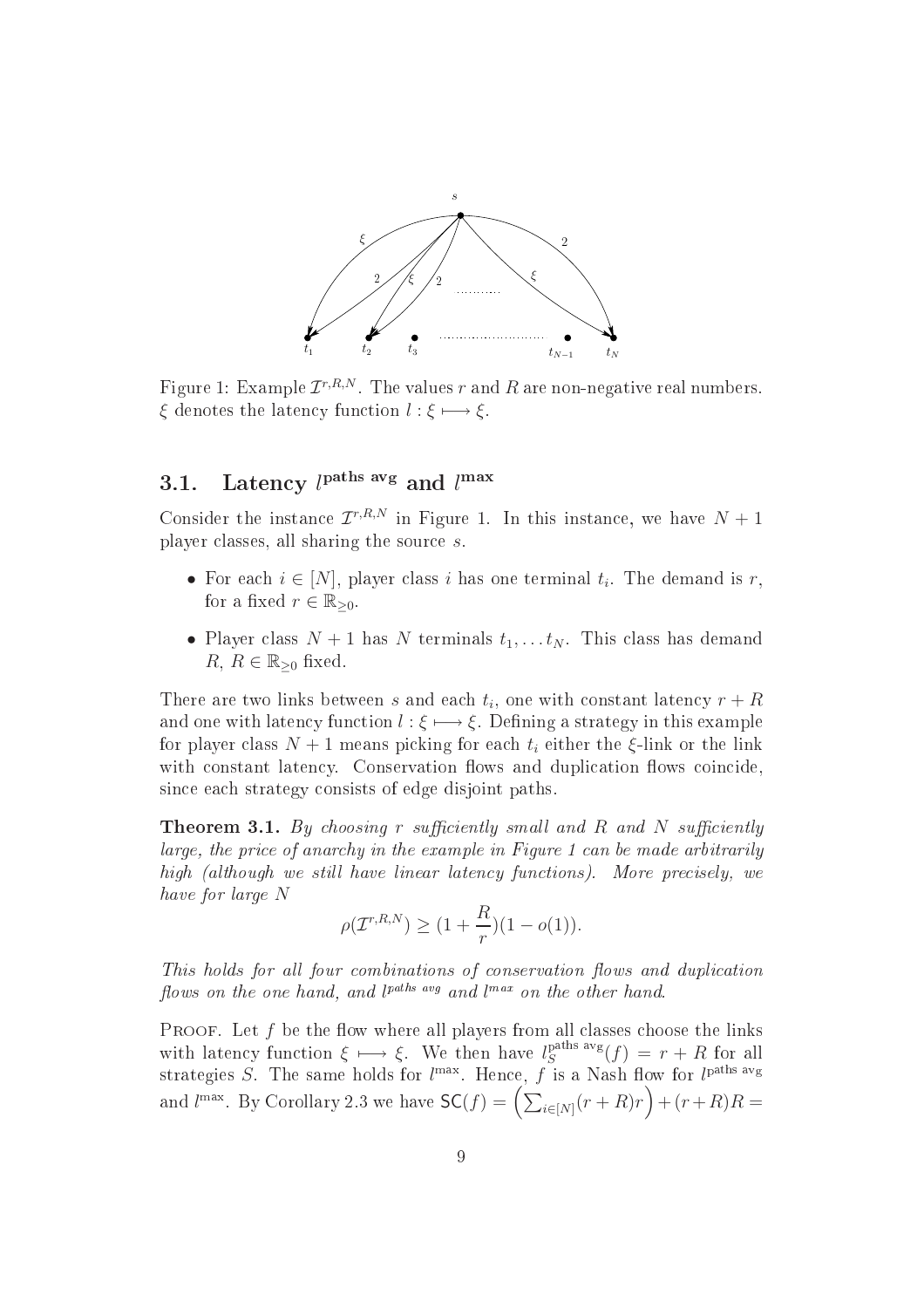

Figure 1: Example  $\mathcal{I}^{r,R,N}.$  The values  $r$  and  $R$  are non-negative real numbers.  $\xi$  denotes the latency function  $l : \xi \longmapsto \xi$ .

#### 3.1. Latency  $l^{\text{paths avg}}$  and  $l^{\text{max}}$

Consider the instance  $\mathcal{I}^{r,R,N}$  in Figure 1. In this instance, we have  $N+1$ player lasses, all sharing the sour
e s.

- For each  $i \in [N]$ , player class i has one terminal  $t_i$ . The demand is r, for a fixed  $r \in \mathbb{R}_{\geq 0}$ .
- Player class  $N+1$  has N terminals  $t_1, \ldots t_N$ . This class has demand  $R, R \in \mathbb{R}_{\geq 0}$  fixed.

There are two links between  $s$  and each  $t_i$ , one with constant latency  $r + R$ and one with latency function  $l : \xi \longmapsto \xi$ . Defining a strategy in this example for player class  $N+1$  means picking for each  $t_i$  either the  $\xi$ -link or the link with constant latency. Conservation flows and duplication flows coincide, sin
e ea
h strategy onsists of edge disjoint paths.

**Theorem 3.1.** By choosing r sufficiently small and R and N sufficiently large, the price of anarchy in the example in Figure 1 can be made arbitrarily high (although we still have linear latency functions). More precisely, we have for large N

$$
\rho(\mathcal{I}^{r,R,N}) \ge (1 + \frac{R}{r})(1 - o(1)).
$$

This holds for all four combinations of conservation flows and duplication flows on the one hand, and  $l^{paths\;avg}$  and  $l^{max}$  on the other hand.

PROOF. Let  $f$  be the flow where all players from all classes choose the links with latency function  $\xi \mapsto \xi$ . We then have  $l_S^{\text{paths avg}}(f) = r + R$  for all strategies S. The same holds for  $l^{\max}$ . Hence,  $f$  is a Nash flow for  $l^{\text{paths avg}}$ and  $l^{\max}$ . By Corollary 2.3 we have  $\mathsf{SC}(f) = \left(\sum_{i \in [N]} (r+R)r\right) + (r+R)R =$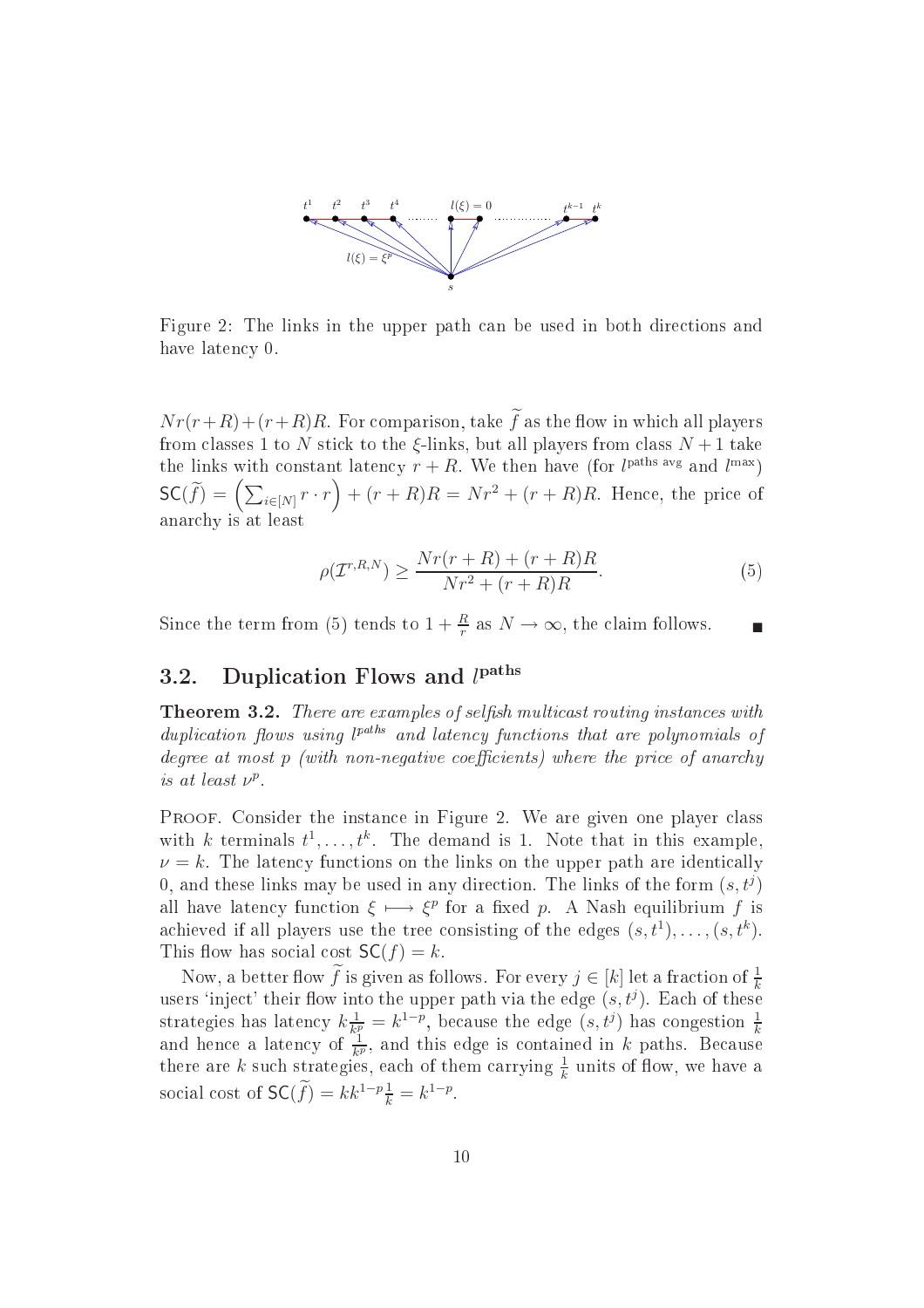

Figure 2: The links in the upper path an be used in both dire
tions and have latency 0.

 $Nr(r+R)+(r+R)R$ . For comparison, take  $\tilde{f}$  as the flow in which all players from classes 1 to N stick to the  $\xi$ -links, but all players from class  $N+1$  take the links with constant latency  $r + R$ . We then have (for l<sup>paths avg</sup> and l<sup>max</sup>)  $\mathsf{SC}(\widetilde{f}) = \left(\sum_{i \in [N]} r \cdot r\right) + (r + R)R = Nr^2 + (r + R)R$ . Hence, the price of anar
hy is at least

$$
\rho(\mathcal{I}^{r,R,N}) \ge \frac{Nr(r+R) + (r+R)R}{Nr^2 + (r+R)R}.\tag{5}
$$

Since the term from (5) tends to  $1 + \frac{R}{r}$  as  $N \to \infty$ , the claim follows.

#### 3.2. Duplication Flows and  $l<sup>paths</sup>$

Theorem 3.2. There are examples of selsh multi
ast routing instan
es with duplication flows using l<sup>paths</sup> and latency functions that are polynomials of degree at most  $p$  (with non-negative coefficients) where the price of anarchy is at least  $\nu^p$ .

PROOF. Consider the instance in Figure 2. We are given one player class with k terminals  $t^1, \ldots, t^k$ . The demand is 1. Note that in this example,  $\nu = k$ . The latency functions on the links on the upper path are identically 0, and these links may be used in any direction. The links of the form  $(s, t<sup>j</sup>)$ all have latency function  $\xi \mapsto \xi^p$  for a fixed p. A Nash equilibrium f is achieved if all players use the tree consisting of the edges  $(s, t^1), \ldots, (s, t^k)$ . This flow has social cost  $SC(f) = k$ .

Now, a better flow f is given as follows. For every  $j \in [k]$  let a fraction of  $\frac{1}{k}$ users 'inject' their flow into the upper path via the edge  $(s, t<sup>j</sup>)$ . Each of these strategies has latency  $k\frac{1}{k^2}$  $\frac{1}{k_i^p} = k^{1-p}$ , because the edge  $(s, t^j)$  has congestion  $\frac{1}{k}$ and hence a latency of  $\frac{1}{k^p}$ , and this edge is contained in k paths. Because there are k such strategies, each of them carrying  $\frac{1}{k}$  units of flow, we have a social cost of  $\mathsf{SC}(\widetilde{f}) = kk^{1-p} \frac{1}{k} = k^{1-p}.$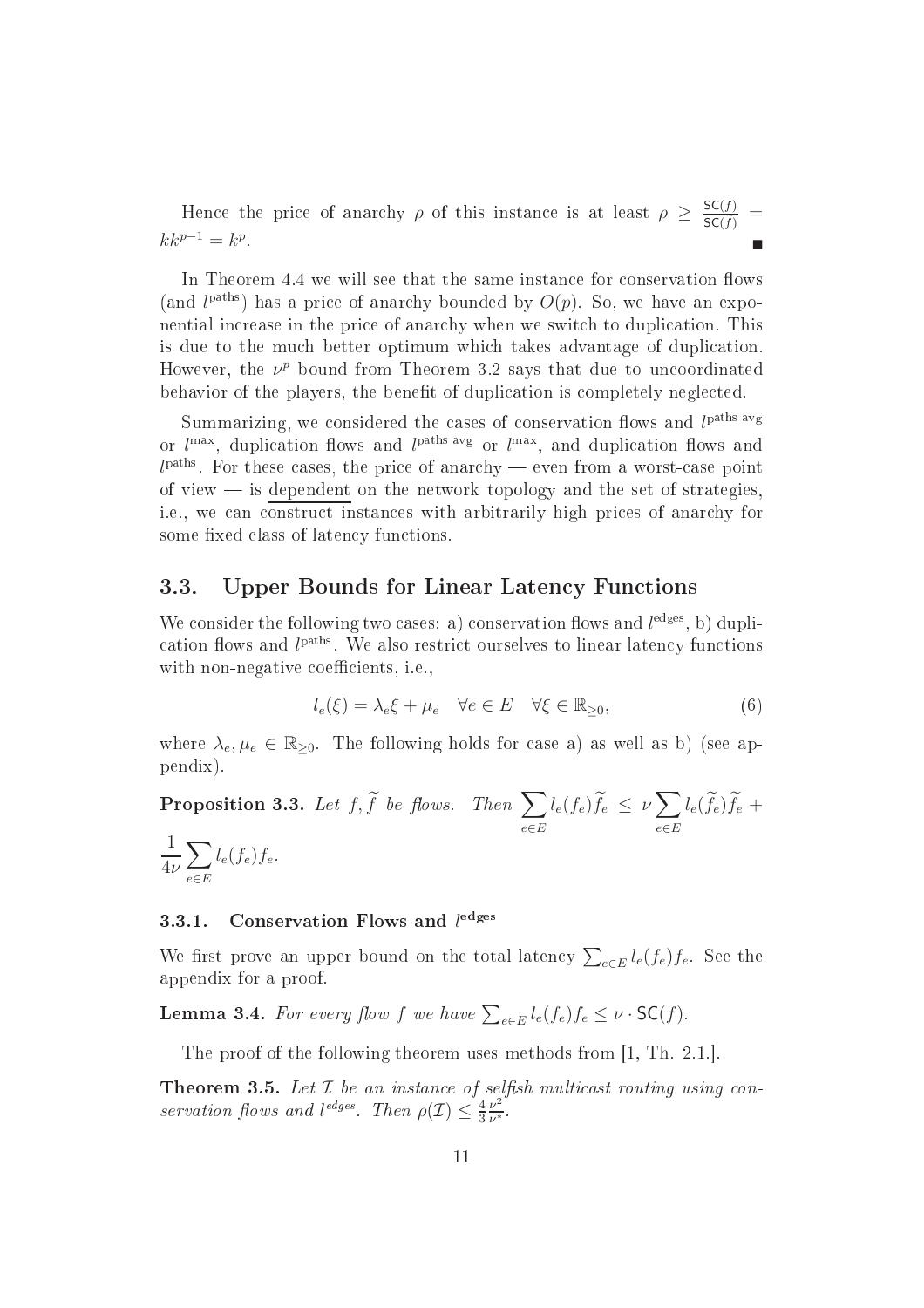Hence the price of anarchy  $\rho$  of this instance is at least  $\rho \geq \frac{SC(f)}{SC(f)}$  $\frac{\mathsf{SC}(f)}{\mathsf{SC}(\tilde{f})}$  =  $kk^{p-1} = k^p$ .

In Theorem 4.4 we will see that the same instance for conservation flows (and  $l^{\text{paths}}$ ) has a price of anarchy bounded by  $O(p)$ . So, we have an exponential in
rease in the pri
e of anar
hy when we swit
h to dupli
ation. This is due to the mu
h better optimum whi
h takes advantage of dupli
ation. However, the  $\nu^p$  bound from Theorem 3.2 says that due to uncoordinated behavior of the players, the benefit of duplication is completely neglected.

Summarizing, we considered the cases of conservation flows and  $l<sup>paths avg</sup>$ or  $l^{\max}$ , duplication flows and  $l^{\text{paths avg}}$  or  $l^{\max}$ , and duplication flows and  $l<sup>paths</sup>$ . For these cases, the price of anarchy — even from a worst-case point of view  $\frac{1}{\sqrt{2}}$  is dependent on the network topology and the set of strategies. i.e., we an onstru
t instan
es with arbitrarily high pri
es of anar
hy for some fixed class of latency functions.

#### 3.3. Upper Bounds for Linear Latency Functions

We consider the following two cases: a) conservation flows and  $l<sup>edges</sup>$ , b) duplication flows and  $l<sup>paths</sup>$ . We also restrict ourselves to linear latency functions with non-negative coefficients, i.e.,

$$
l_e(\xi) = \lambda_e \xi + \mu_e \quad \forall e \in E \quad \forall \xi \in \mathbb{R}_{\geq 0},\tag{6}
$$

where  $\lambda_e, \mu_e \in \mathbb{R}_{\geq 0}$ . The following holds for case a) as well as b) (see appendix).

**Proposition 3.3.** Let  $f, \widetilde{f}$  be flows. Then  $\sum$ e∈E  $l_e(f_e)\widetilde{f}_e \ \leq \ \nu \sum$ e∈E  $l_e(f_e) f_e +$ 1  $4\nu$  $\overline{\phantom{0}}$ e∈E  $l_e(f_e)f_e.$ 

#### 3.3.1.Conservation Flows and  $l<sup>edges</sup>$

We first prove an upper bound on the total latency  $\sum_{e \in E} l_e(f_e) f_e$ . See the appendix for a proof.

**Lemma 3.4.** For every flow f we have  $\sum_{e \in E} l_e(f_e) f_e \leq \nu \cdot \mathsf{SC}(f)$ .

The proof of the following theorem uses methods from  $[1, Th. 2.1.]$ 

**Theorem 3.5.** Let  $\mathcal I$  be an instance of selfish multicast routing using conservation flows and l<sup>edges</sup>. Then  $\rho(\mathcal{I}) \leq \frac{4}{3}$ 3  $\nu^2$  $\nu^*$  .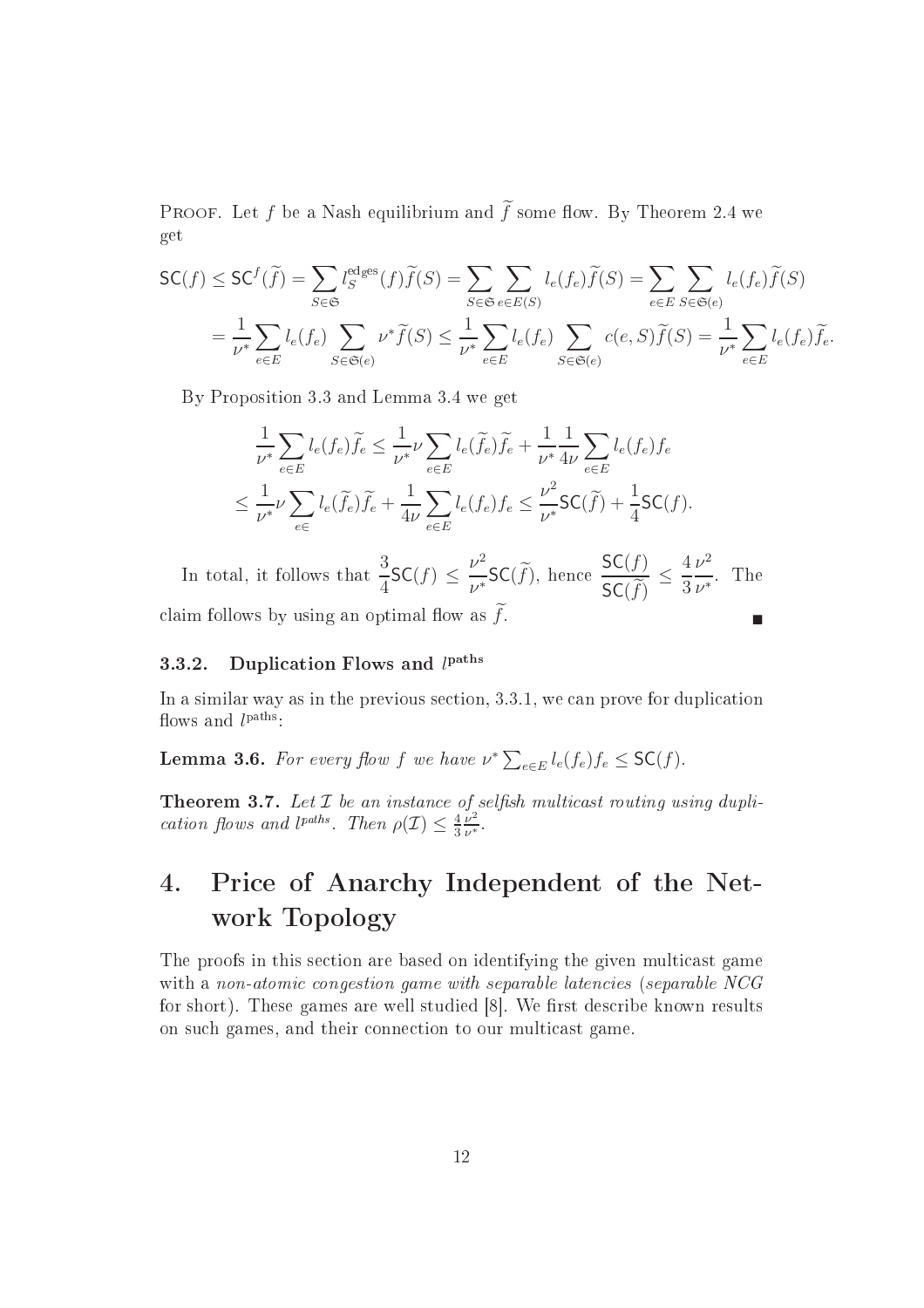PROOF. Let f be a Nash equilibrium and  $\tilde{f}$  some flow. By Theorem 2.4 we get

$$
\mathsf{SC}(f) \leq \mathsf{SC}^f(\widetilde{f}) = \sum_{S \in \mathfrak{S}} l_S^{\text{edges}}(f) \widetilde{f}(S) = \sum_{S \in \mathfrak{S}} \sum_{e \in E(S)} l_e(f_e) \widetilde{f}(S) = \sum_{e \in E} \sum_{S \in \mathfrak{S}(e)} l_e(f_e) \widetilde{f}(S)
$$

$$
= \frac{1}{\nu^*} \sum_{e \in E} l_e(f_e) \sum_{S \in \mathfrak{S}(e)} \nu^* \widetilde{f}(S) \leq \frac{1}{\nu^*} \sum_{e \in E} l_e(f_e) \sum_{S \in \mathfrak{S}(e)} c(e, S) \widetilde{f}(S) = \frac{1}{\nu^*} \sum_{e \in E} l_e(f_e) \widetilde{f}_e.
$$

By Proposition 3.3 and Lemma 3.4 we get

$$
\frac{1}{\nu^*} \sum_{e \in E} l_e(f_e) \widetilde{f}_e \le \frac{1}{\nu^*} \nu \sum_{e \in E} l_e(\widetilde{f}_e) \widetilde{f}_e + \frac{1}{\nu^*} \frac{1}{4\nu} \sum_{e \in E} l_e(f_e) f_e
$$
\n
$$
\le \frac{1}{\nu^*} \nu \sum_{e \in E} l_e(\widetilde{f}_e) \widetilde{f}_e + \frac{1}{4\nu} \sum_{e \in E} l_e(f_e) f_e \le \frac{\nu^2}{\nu^*} \mathsf{SC}(\widetilde{f}) + \frac{1}{4} \mathsf{SC}(f).
$$

In total, it follows that  $\frac{3}{5}$ 4  $\mathsf{SC}(f) \leq \frac{\nu^2}{\tau}$  $\frac{\nu^2}{\nu^*}$ SC( $\widetilde{f}$ ), hence  $\frac{\mathsf{SC}(f)}{\mathsf{SC}(\widetilde{f})}$  $\frac{\mathsf{SC}(f)}{\mathsf{SC}(\widetilde{f})} \leq$ 4 3  $\nu^2$  $\nu^*$ . The claim follows by using an optimal flow as  $f$ .

#### 3.3.2.Duplication Flows and  $l<sup>paths</sup>$

In a similar way as in the previous section, 3.3.1, we can prove for duplication flows and  $l^{\text{paths}}$ :

**Lemma 3.6.** For every flow f we have  $\nu^* \sum_{e \in E} l_e(f_e) f_e \leq \mathsf{SC}(f)$ .

**Theorem 3.7.** Let  $\mathcal I$  be an instance of selfish multicast routing using duplication flows and l<sup>paths</sup>. Then  $\rho(\mathcal{I}) \leq \frac{4}{3}$ 3  $\frac{v}{\nu^2}$  $\nu^*$  .

### 4. Pri
e of Anar
hy Independent of the Network Topology

The proofs in this section are based on identifying the given multicast game with a non-atomic congestion game with separable latencies (separable NCG for short). These games are well studied [8]. We first describe known results on su
h games, and their onne
tion to our multi
ast game.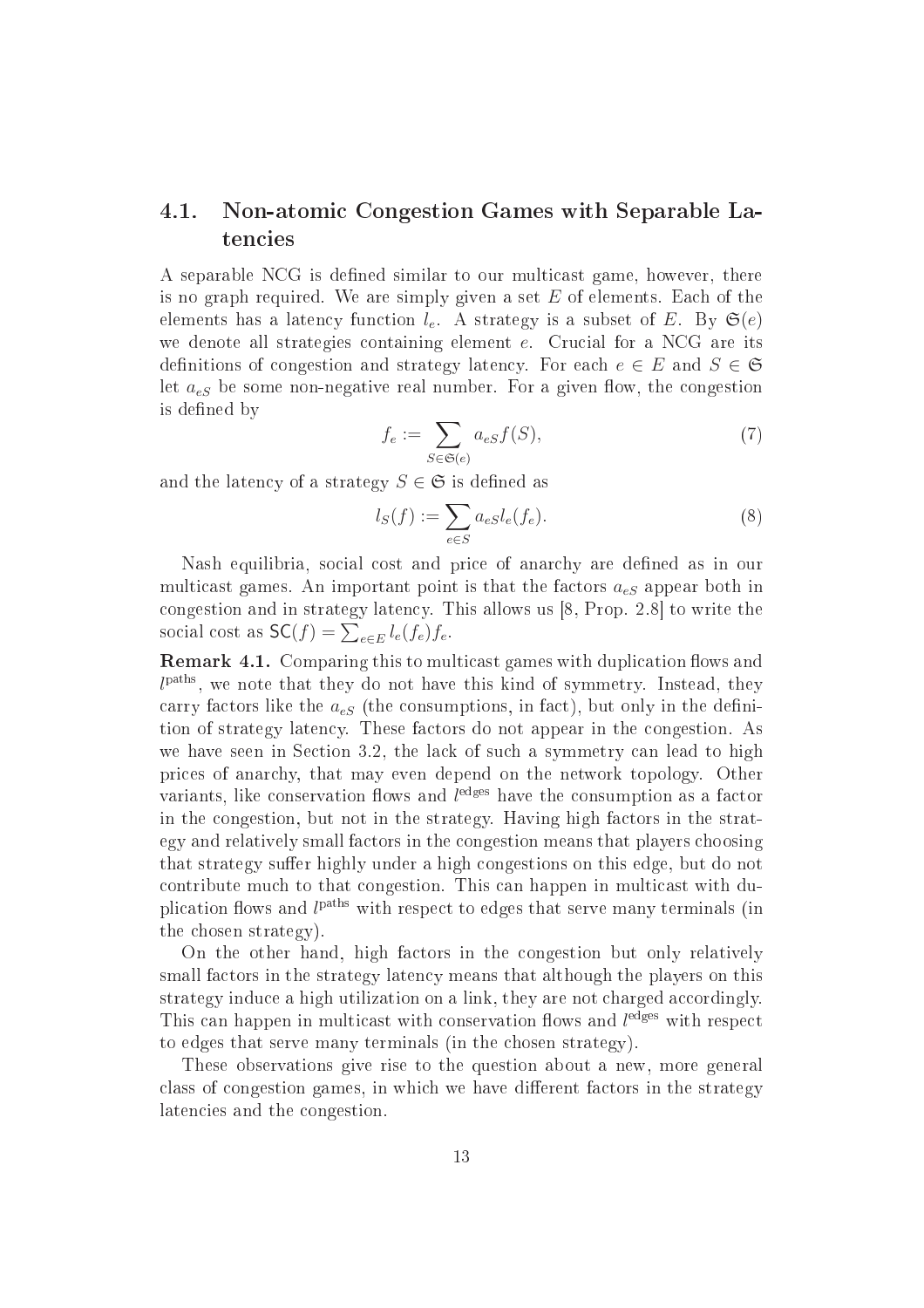#### 4.1. Non-atomi Congestion Games with Separable Latencies

A separable NCG is defined similar to our multicast game, however, there is no graph required. We are simply given a set  $E$  of elements. Each of the elements has a latency function  $l_e$ . A strategy is a subset of E. By  $\mathfrak{S}(e)$ we denote all strategies containing element  $e$ . Crucial for a NCG are its definitions of congestion and strategy latency. For each  $e \in E$  and  $S \in \mathfrak{S}$ let  $a_{eS}$  be some non-negative real number. For a given flow, the congestion is defined by

$$
f_e := \sum_{S \in \mathfrak{S}(e)} a_{eS} f(S),\tag{7}
$$

and the latency of a strategy  $S \in \mathfrak{S}$  is defined as

$$
l_S(f) := \sum_{e \in S} a_e s l_e(f_e). \tag{8}
$$

Nash equilibria, social cost and price of anarchy are defined as in our multicast games. An important point is that the factors  $a_{eS}$  appear both in congestion and in strategy latency. This allows us  $[8, Prop. 2.8]$  to write the social cost as  $\mathsf{SC}(f) = \sum_{e \in E} l_e(f_e) f_e$ .

Remark 4.1. Comparing this to multi
ast games with dupli
ation ows and  $l^{\text{paths}}$ , we note that they do not have this kind of symmetry. Instead, they carry factors like the  $a_{eS}$  (the consumptions, in fact), but only in the definition of strategy laten
y. These fa
tors do not appear in the ongestion. As we have seen in Section 3.2, the lack of such a symmetry can lead to high pri
es of anar
hy, that may even depend on the network topology. Other variants, like conservation flows and  $l<sup>edges</sup>$  have the consumption as a factor in the congestion, but not in the strategy. Having high factors in the strategy and relatively small fa
tors in the ongestion means that players hoosing that strategy suffer highly under a high congestions on this edge, but do not ontribute mu
h to that ongestion. This an happen in multi
ast with duplication flows and  $l<sup>paths</sup>$  with respect to edges that serve many terminals (in the hosen strategy).

On the other hand, high fa
tors in the ongestion but only relatively small factors in the strategy latency means that although the players on this strategy induce a high utilization on a link, they are not charged accordingly. This can happen in multicast with conservation flows and  $l<sup>edges</sup>$  with respect to edges that serve many terminals (in the hosen strategy).

These observations give rise to the question about a new, more general class of congestion games, in which we have different factors in the strategy latencies and the congestion.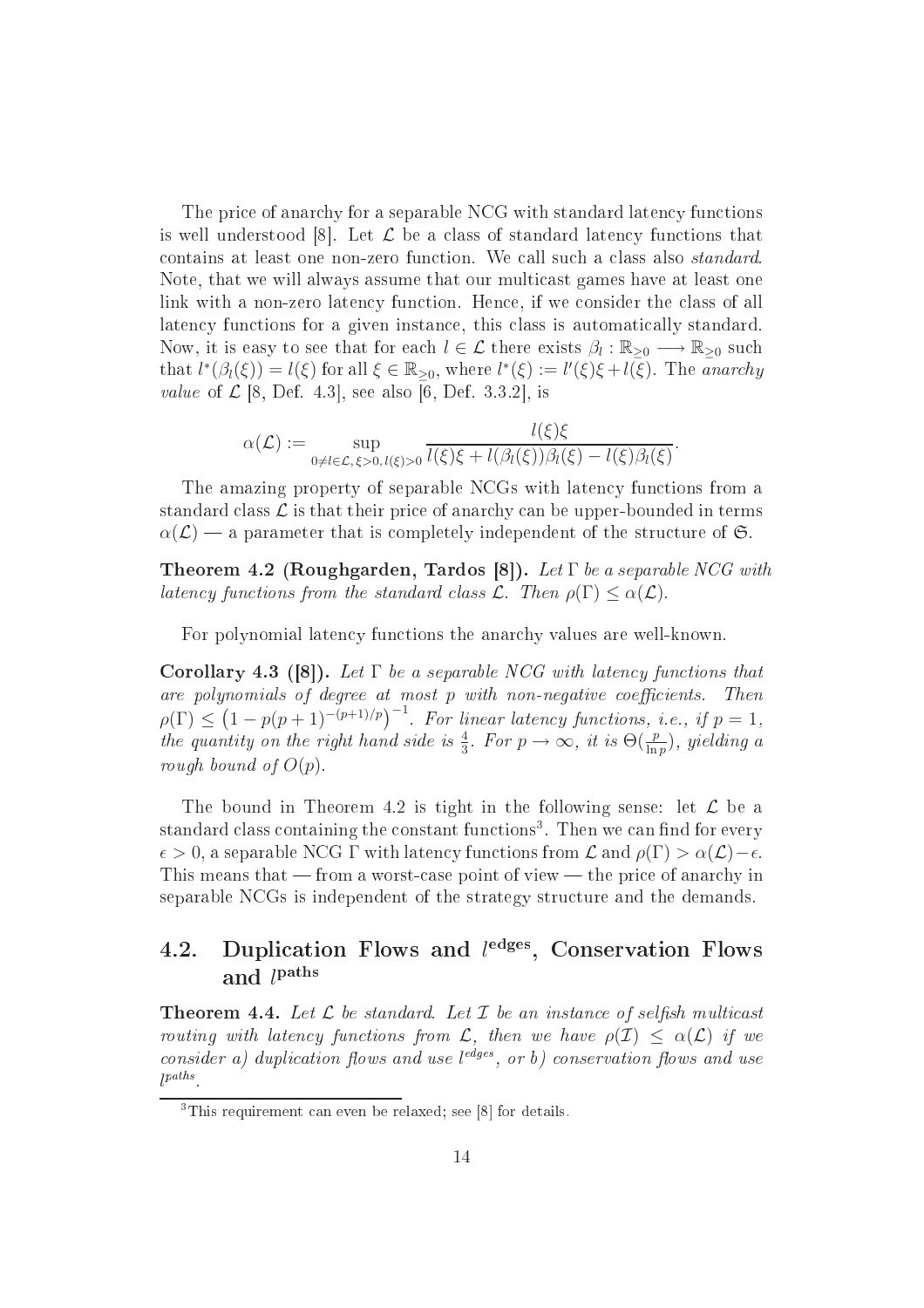The price of anarchy for a separable NCG with standard latency functions is well understood [8]. Let  $\mathcal L$  be a class of standard latency functions that contains at least one non-zero function. We call such a class also *standard*. Note, that we will always assume that our multi
ast games have at least one link with a non-zero latency function. Hence, if we consider the class of all latency functions for a given instance, this class is automatically standard. Now, it is easy to see that for each  $l \in \mathcal{L}$  there exists  $\beta_l : \mathbb{R}_{\geq 0} \longrightarrow \mathbb{R}_{\geq 0}$  such that  $l^*(\beta_l(\xi)) = l(\xi)$  for all  $\xi \in \mathbb{R}_{\geq 0}$ , where  $l^*(\xi) := l'(\xi)\xi + l(\overline{\xi})$ . The anarchy value of  $\mathcal{L}$  [8, Def. 4.3], see also [6, Def. 3.3.2], is

$$
\alpha(\mathcal{L}) := \sup_{0 \neq l \in \mathcal{L}, \xi > 0, l(\xi) > 0} \frac{l(\xi)\xi}{l(\xi)\xi + l(\beta_l(\xi))\beta_l(\xi) - l(\xi)\beta_l(\xi)}.
$$

The amazing property of separable NCGs with latency functions from a standard class  $\mathcal L$  is that their price of anarchy can be upper-bounded in terms  $\alpha(\mathcal{L})$  — a parameter that is completely independent of the structure of G.

Theorem 4.2 (Roughgarden, Tardos [8]). Let  $\Gamma$  be a separable NCG with latency functions from the standard class  $\mathcal{L}$ . Then  $\rho(\Gamma) \leq \alpha(\mathcal{L})$ .

For polynomial latency functions the anarchy values are well-known.

**Corollary 4.3 ([8]).** Let  $\Gamma$  be a separable NCG with latency functions that are polynomials of degree at most  $p$  with non-negative coefficients. Then  $\rho(\Gamma) \leq (1-p(p+1)^{-(p+1)/p})^{-1}$ . For linear latency functions, i.e., if  $p=1$ , the quantity on the right hand side is  $\frac{4}{3}$ . For  $p \to \infty$ , it is  $\Theta(\frac{p}{\ln p})$ , yielding a rough bound of  $O(p)$ .

The bound in Theorem 4.2 is tight in the following sense: let  $\mathcal L$  be a standard class containing the constant functions". Then we can find for every  $\epsilon > 0$ , a separable NCG Γ with latency functions from  $\mathcal L$  and  $\rho(\Gamma) > \alpha(\mathcal L) - \epsilon$ . This means that  $-$  from a worst-case point of view  $-$  the price of anarchy in separable NCGs is independent of the strategy stru
ture and the demands.

#### 4.2. Duplication Flows and ledges, Conservation Flows and  $l^{\rm paths}$

**Theorem 4.4.** Let  $\mathcal L$  be standard. Let  $\mathcal I$  be an instance of selfish multicast routing with latency functions from L, then we have  $\rho(\mathcal{I}) \leq \alpha(\mathcal{L})$  if we consider a) duplication flows and use leages, or b) conservation flows and use l paths

 $3$ This requirement can even be relaxed; see [8] for details.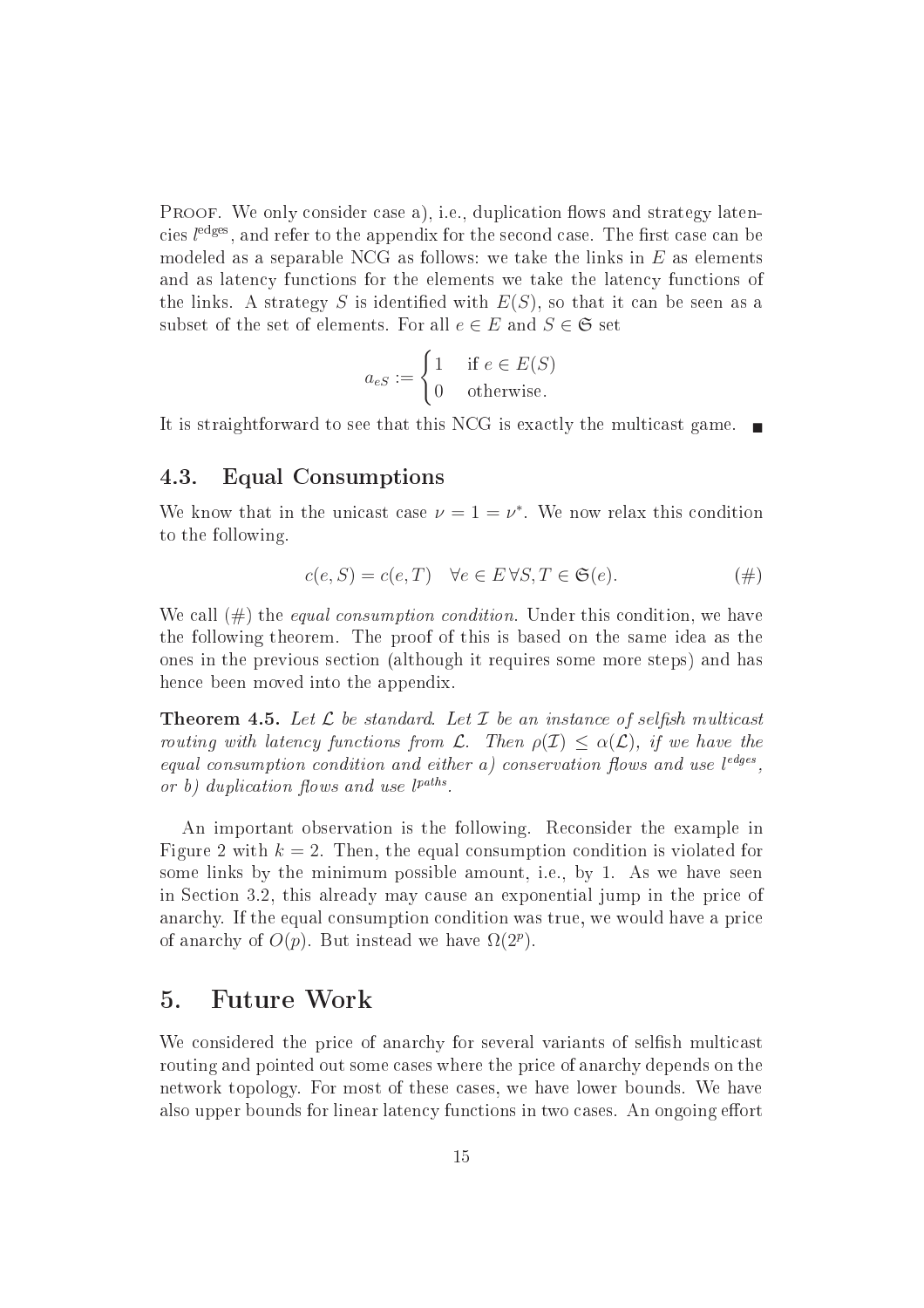PROOF. We only consider case a), i.e., duplication flows and strategy latencies  $l^{\text{edges}}$ , and refer to the appendix for the second case. The first case can be modeled as a separable NCG as follows: we take the links in  $E$  as elements and as latency functions for the elements we take the latency functions of the links. A strategy S is identified with  $E(S)$ , so that it can be seen as a subset of the set of elements. For all  $e \in E$  and  $S \in \mathfrak{S}$  set

$$
a_{eS} := \begin{cases} 1 & \text{if } e \in E(S) \\ 0 & \text{otherwise.} \end{cases}
$$

It is straightforward to see that this NCG is exactly the multicast game.  $\blacksquare$ 

#### 4.3. Equal Consumptions

We know that in the unicast case  $\nu = 1 = \nu^*$ . We now relax this condition to the following.

$$
c(e, S) = c(e, T) \quad \forall e \in E \,\forall S, T \in \mathfrak{S}(e). \tag{\#}
$$

We call  $(\#)$  the *equal consumption condition*. Under this condition, we have the following theorem. The proof of this is based on the same idea as the ones in the previous se
tion (although it requires some more steps) and has hen
e been moved into the appendix.

**Theorem 4.5.** Let  $\mathcal L$  be standard. Let  $\mathcal I$  be an instance of selfish multicast routing with latency functions from  $\mathcal{L}$ . Then  $\rho(\mathcal{I}) < \alpha(\mathcal{L})$ , if we have the equal consumption condition and either a) conservation flows and use  $l^{edges}$ , or b) duplication flows and use  $l^{paths}$ .

An important observation is the following. Reconsider the example in Figure 2 with  $k = 2$ . Then, the equal consumption condition is violated for some links by the minimum possible amount, i.e., by 1. As we have seen in Section 3.2, this already may cause an exponential jump in the price of anarchy. If the equal consumption condition was true, we would have a price of anarchy of  $O(p)$ . But instead we have  $\Omega(2^p)$ .

#### 5. Future Work

We considered the price of anarchy for several variants of selfish multicast routing and pointed out some cases where the price of anarchy depends on the network topology. For most of these ases, we have lower bounds. We have also upper bounds for linear latency functions in two cases. An ongoing effort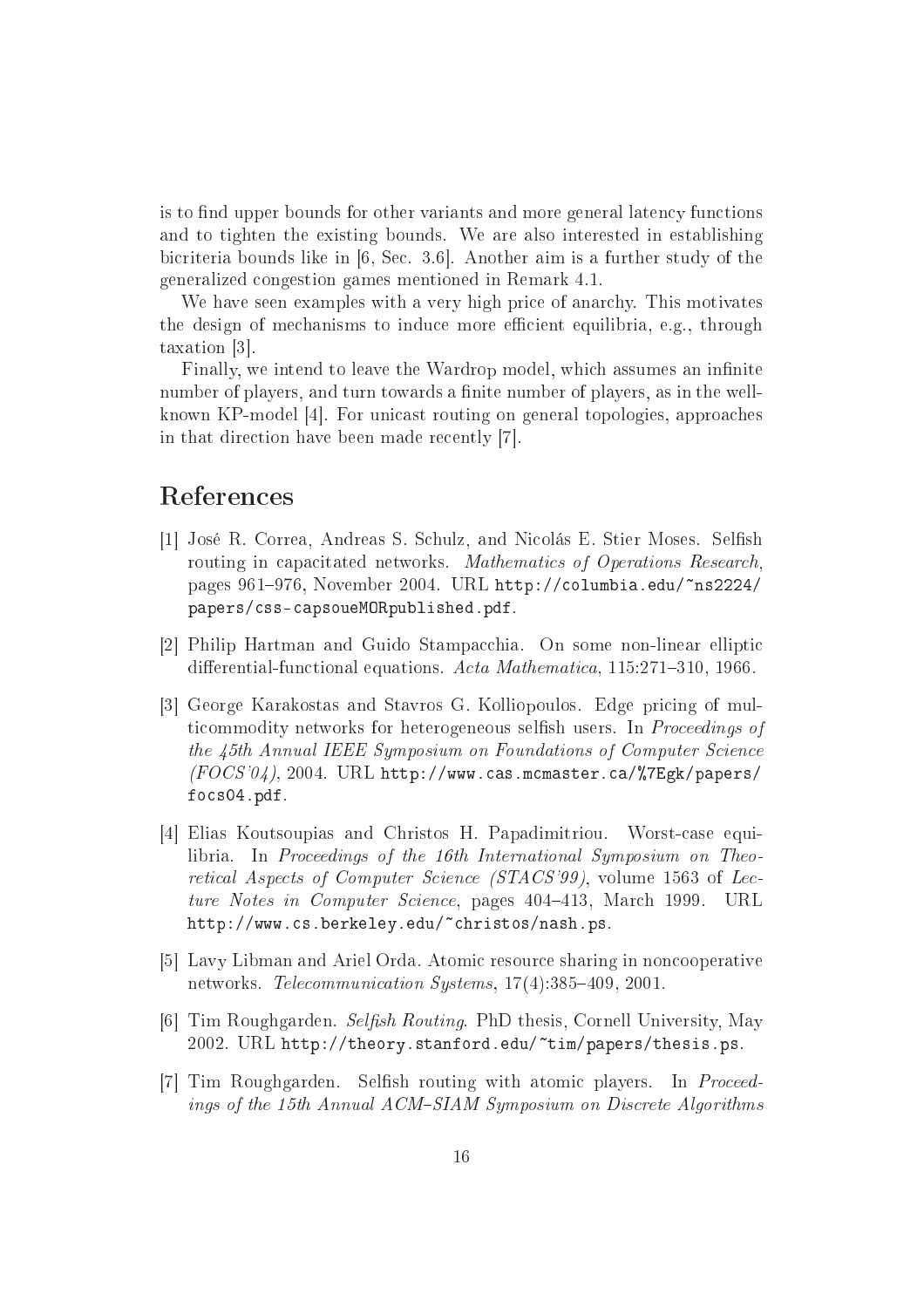is to find upper bounds for other variants and more general latency functions and to tighten the existing bounds. We are also interested in establishing bicriteria bounds like in [6, Sec. 3.6]. Another aim is a further study of the generalized ongestion games mentioned in Remark 4.1.

We have seen examples with a very high price of anarchy. This motivates the design of mechanisms to induce more efficient equilibria, e.g., through taxation [3].

Finally, we intend to leave the Wardrop model, which assumes an infinite number of players, and turn towards a finite number of players, as in the wellknown KP-model [4]. For unicast routing on general topologies, approaches in that direction have been made recently [7].

#### Referen
es

- [1] José R. Correa, Andreas S. Schulz, and Nicolás E. Stier Moses. Selfish routing in capacitated networks. Mathematics of Operations Research, pages 961-976, November 2004. URL http://columbia.edu/~ns2224/ papers/
ssapsoueMORpublished.pdf.
- [2] Philip Hartman and Guido Stampacchia. On some non-linear elliptic differential-functional equations. Acta Mathematica, 115:271-310, 1966.
- [3] George Karakostas and Stavros G. Kolliopoulos. Edge pricing of multicommodity networks for heterogeneous selfish users. In *Proceedings of* the 45th Annual IEEE Symposium on Foundations of Computer Science  $(FOCS'04)$ , 2004. URL http://www.cas.mcmaster.ca/%7Egk/papers/ fo
s04.pdf.
- [4] Elias Koutsoupias and Christos H. Papadimitriou. Worst-case equilibria. In Proceedings of the 16th International Symposium on Theoretical Aspects of Computer Science (STACS'99), volume 1563 of Lecture Notes in Computer Science, pages 404-413, March 1999. URL http://www.
s.berkeley.edu/~
hristos/nash.ps.
- [5] Lavy Libman and Ariel Orda. Atomic resource sharing in noncooperative networks. Telecommunication Systems, 17(4):385-409, 2001.
- [6] Tim Roughgarden. Selfish Routing. PhD thesis, Cornell University, May 2002. URL http://theory.stanford.edu/~tim/papers/thesis.ps.
- [7] Tim Roughgarden. Selfish routing with atomic players. In *Proceed*ings of the 15th Annual ACM-SIAM Symposium on Discrete Algorithms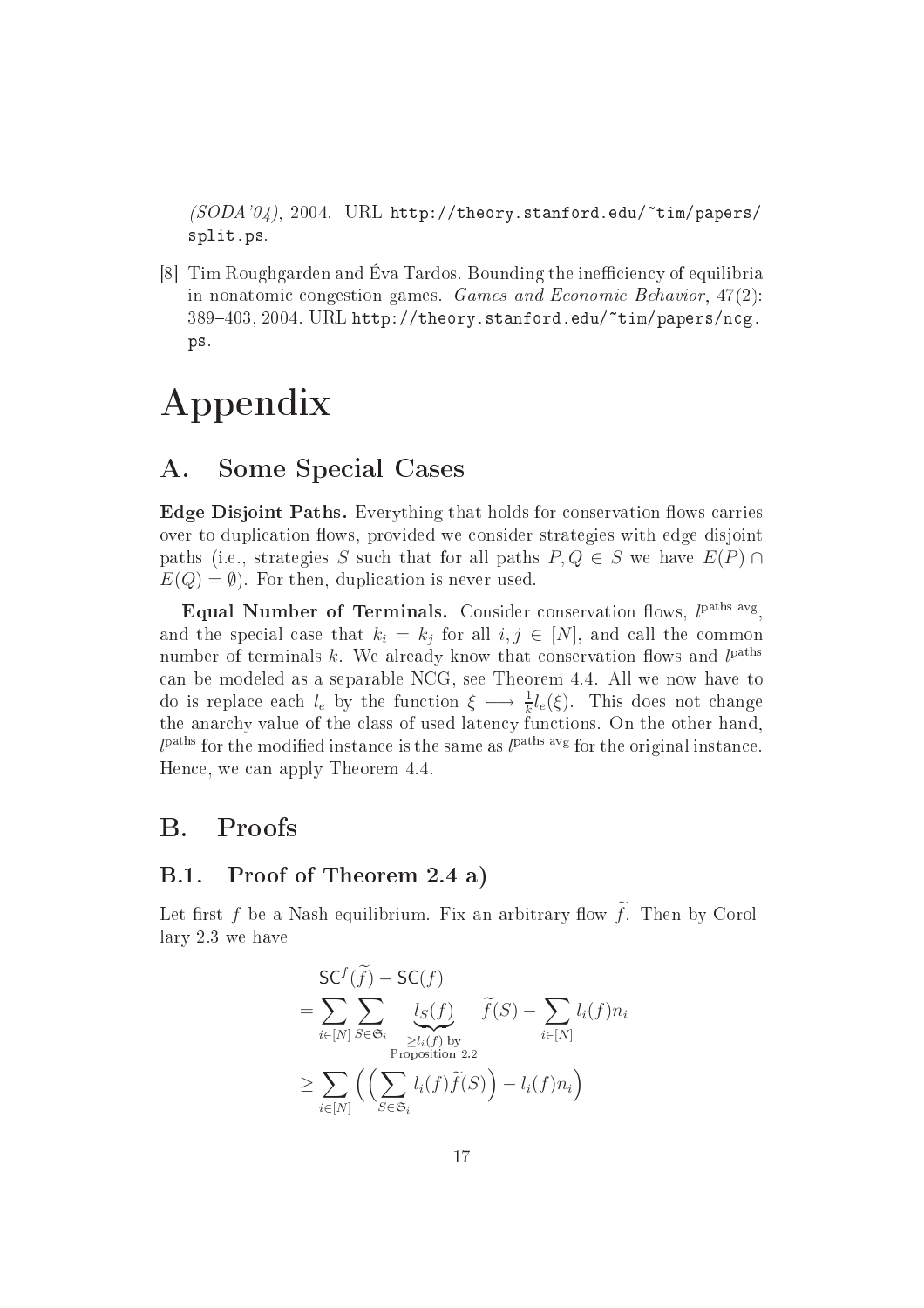$(SODA'04)$ , 2004. URL http://theory.stanford.edu/~tim/papers/ split.ps.

[8] Tim Roughgarden and Éva Tardos. Bounding the inefficiency of equilibria in nonatomic congestion games. Games and Economic Behavior, 47(2): 389-403, 2004. URL http://theory.stanford.edu/~tim/papers/ncg. ps.

## Appendix

#### A. Some Spe
ial Cases

Edge Disjoint Paths. Everything that holds for onservation ows arries over to duplication flows, provided we consider strategies with edge disjoint paths (i.e., strategies S such that for all paths  $P, Q \in S$  we have  $E(P) \cap$  $E(Q) = \emptyset$ . For then, duplication is never used.

Equal Number of Terminals. Consider conservation flows,  $l<sup>paths avg</sup>$ , and the special case that  $k_i = k_j$  for all  $i, j \in [N]$ , and call the common number of terminals  $k$ . We already know that conservation flows and  $l^{\text{paths}}$ an be modeled as a separable NCG, see Theorem 4.4. All we now have to do is replace each  $l_e$  by the function  $\xi \mapsto \frac{1}{k}l_e(\xi)$ . This does not change the anarchy value of the class of used latency functions. On the other hand,  $l^{\text{paths}}$  for the modified instance is the same as  $l^{\text{paths avg}}$  for the original instance. Hen
e, we an apply Theorem 4.4.

#### $\mathbf{B}$ . **Proofs**

#### $B.1.$ Proof of Theorem 2.4 a)

Let first f be a Nash equilibrium. Fix an arbitrary flow  $\widetilde{f}$ . Then by Corollary 2.3 we have

$$
\begin{aligned} \mathsf{SC}^f(\widetilde{f}) - \mathsf{SC}(f) \\ &= \sum_{i \in [N]} \sum_{S \in \mathfrak{S}_i} \underbrace{l_S(f)}_{\substack{\ge l_i(f) \text{ by} \\ \text{Proposition 2.2}}} \widetilde{f}(S) - \sum_{i \in [N]} l_i(f) n_i \\ &\ge \sum_{i \in [N]} \left( \left( \sum_{S \in \mathfrak{S}_i} l_i(f) \widetilde{f}(S) \right) - l_i(f) n_i \right) \end{aligned}
$$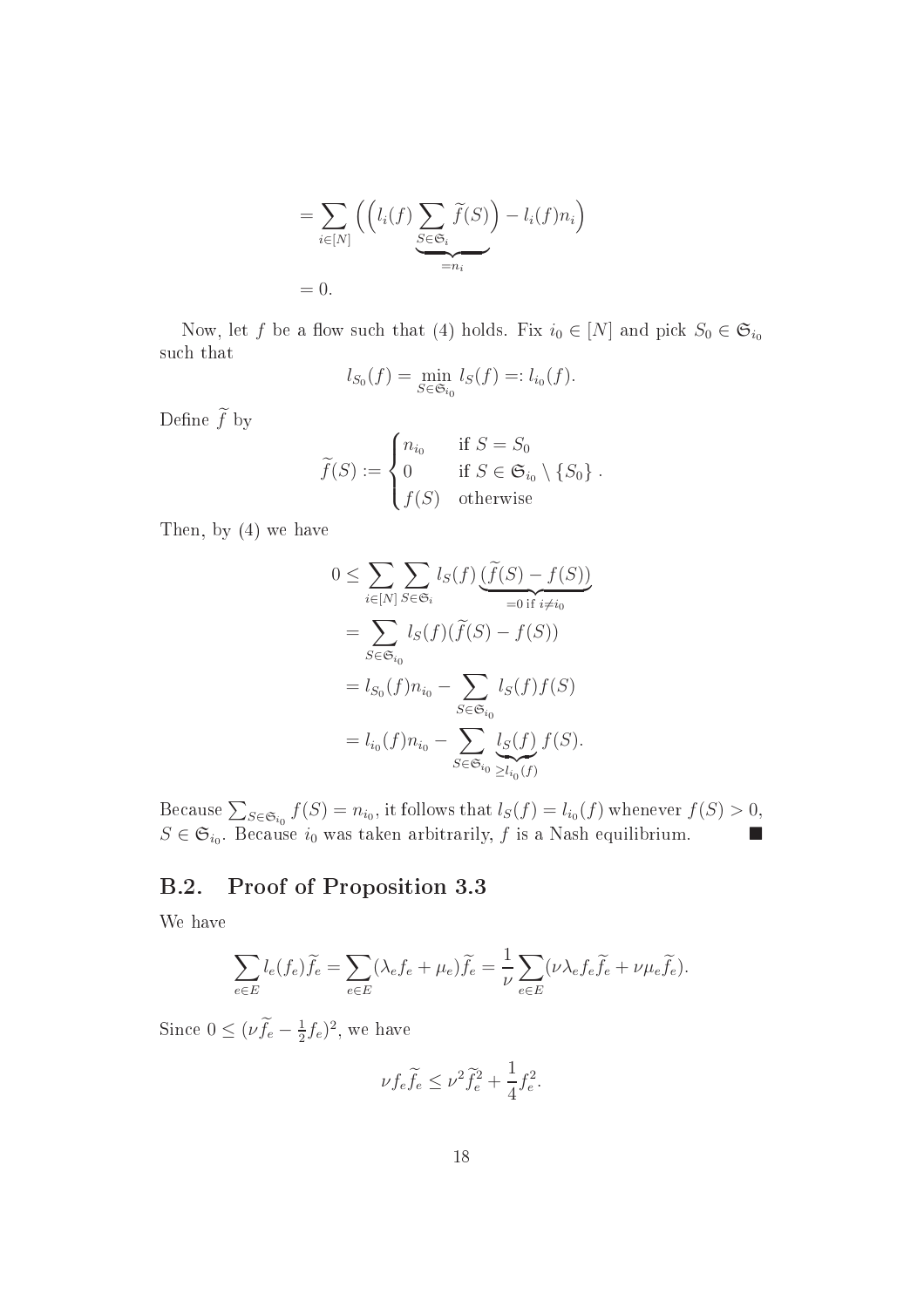$$
= \sum_{i \in [N]} \left( \left( l_i(f) \sum_{\substack{S \in \mathfrak{S}_i \\ = n_i}} \widetilde{f}(S) \right) - l_i(f) n_i \right)
$$
  
= 0.

Now, let f be a flow such that (4) holds. Fix  $i_0 \in [N]$  and pick  $S_0 \in \mathfrak{S}_{i_0}$ such that

$$
l_{S_0}(f) = \min_{S \in \mathfrak{S}_{i_0}} l_S(f) =: l_{i_0}(f).
$$

Define  $\widetilde{f}$  by

$$
\widetilde{f}(S) := \begin{cases}\nn_{i_0} & \text{if } S = S_0 \\
0 & \text{if } S \in \mathfrak{S}_{i_0} \setminus \{S_0\} \\
f(S) & \text{otherwise}\n\end{cases}
$$

Then, by (4) we have

$$
0 \leq \sum_{i \in [N]} \sum_{S \in \mathfrak{S}_i} l_S(f) \underbrace{\left(\widetilde{f}(S) - f(S)\right)}_{=0 \text{ if } i \neq i_0}
$$

$$
= \sum_{S \in \mathfrak{S}_{i_0}} l_S(f)(\widetilde{f}(S) - f(S))
$$

$$
= l_{S_0}(f)n_{i_0} - \sum_{S \in \mathfrak{S}_{i_0}} l_S(f)f(S)
$$

$$
= l_{i_0}(f)n_{i_0} - \sum_{S \in \mathfrak{S}_{i_0}} \underbrace{l_S(f)}_{\geq l_{i_0}(f)} f(S).
$$

Because  $\sum_{S \in \mathfrak{S}_{i_0}} f(S) = n_{i_0}$ , it follows that  $l_S(f) = l_{i_0}(f)$  whenever  $f(S) > 0$ ,  $S \in \mathfrak{S}_{i_0}$ . Because  $i_0$  was taken arbitrarily, f is a Nash equilibrium.

#### B.2. Proof of Proposition 3.3

We have

$$
\sum_{e \in E} l_e(f_e) \widetilde{f}_e = \sum_{e \in E} (\lambda_e f_e + \mu_e) \widetilde{f}_e = \frac{1}{\nu} \sum_{e \in E} (\nu \lambda_e f_e \widetilde{f}_e + \nu \mu_e \widetilde{f}_e).
$$

Since  $0 \leq (\nu f_e - \frac{1}{2})$  $(\frac{1}{2}f_e)^2$ , we have

$$
\nu f_e \widetilde{f}_e \le \nu^2 \widetilde{f}_e^2 + \frac{1}{4} f_e^2.
$$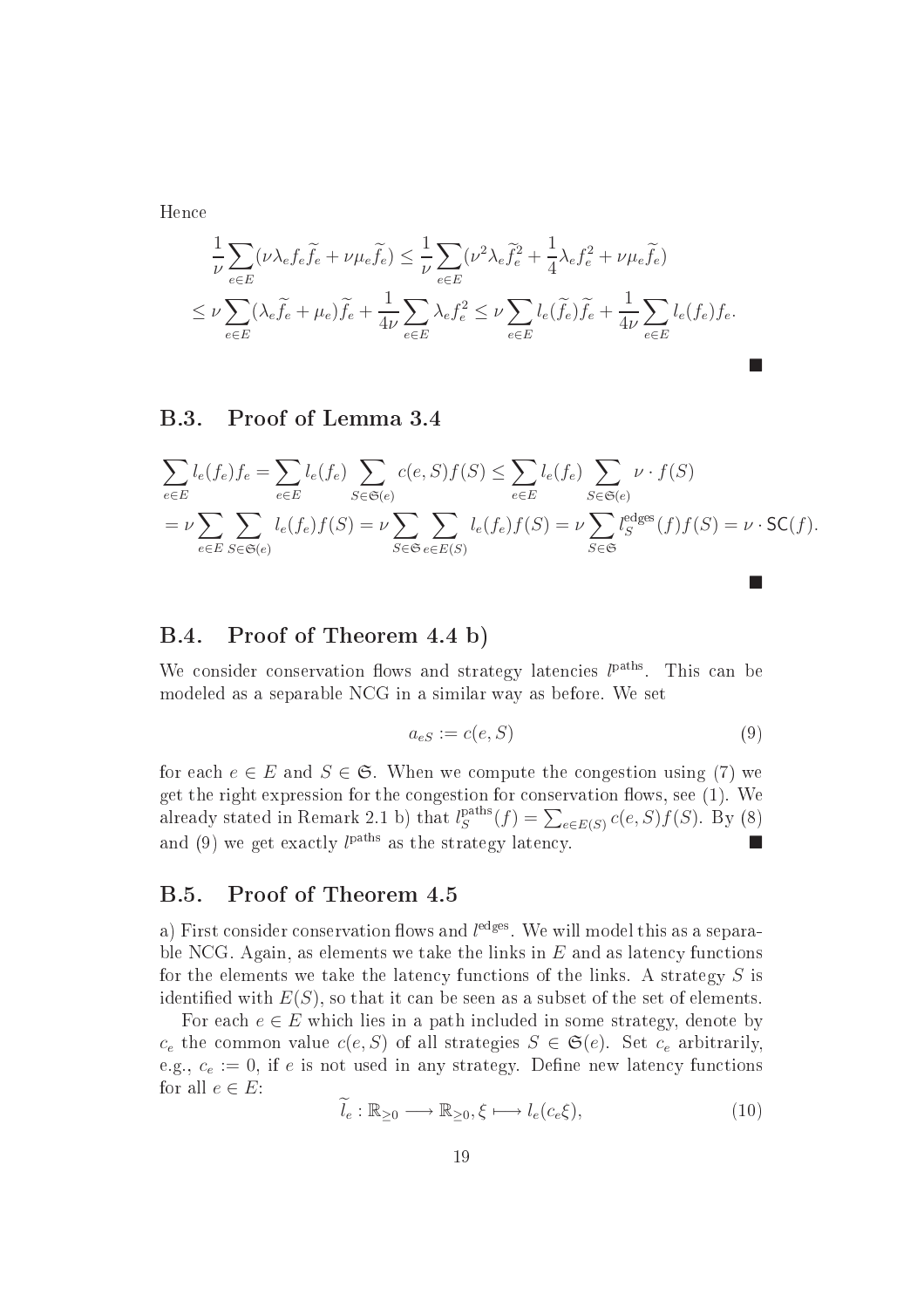Hen
e

$$
\frac{1}{\nu} \sum_{e \in E} (\nu \lambda_e f_e \tilde{f}_e + \nu \mu_e \tilde{f}_e) \leq \frac{1}{\nu} \sum_{e \in E} (\nu^2 \lambda_e \tilde{f}_e^2 + \frac{1}{4} \lambda_e f_e^2 + \nu \mu_e \tilde{f}_e)
$$
\n
$$
\leq \nu \sum_{e \in E} (\lambda_e \tilde{f}_e + \mu_e) \tilde{f}_e + \frac{1}{4\nu} \sum_{e \in E} \lambda_e f_e^2 \leq \nu \sum_{e \in E} l_e (\tilde{f}_e) \tilde{f}_e + \frac{1}{4\nu} \sum_{e \in E} l_e (f_e) f_e.
$$

#### B.3. Proof of Lemma 3.4

$$
\sum_{e \in E} l_e(f_e) f_e = \sum_{e \in E} l_e(f_e) \sum_{S \in \mathfrak{S}(e)} c(e, S) f(S) \le \sum_{e \in E} l_e(f_e) \sum_{S \in \mathfrak{S}(e)} \nu \cdot f(S)
$$
  
=  $\nu \sum_{e \in E} \sum_{S \in \mathfrak{S}(e)} l_e(f_e) f(S) = \nu \sum_{S \in \mathfrak{S}} \sum_{e \in E(S)} l_e(f_e) f(S) = \nu \sum_{S \in \mathfrak{S}} l_g^{\text{edges}}(f) f(S) = \nu \cdot \mathsf{SC}(f).$ 

#### B.4. Proof of Theorem 4.4 b)

We consider conservation flows and strategy latencies  $l<sup>paths</sup>$ . This can be modeled as a separable NCG in a similar way as before. We set

$$
a_{eS} := c(e, S) \tag{9}
$$

for each  $e \in E$  and  $S \in \mathfrak{S}$ . When we compute the congestion using (7) we get the right expression for the congestion for conservation flows, see (1). We already stated in Remark 2.1 b) that  $l_S^{\text{paths}}(f) = \sum_{e \in E(S)} c(e, S) f(S)$ . By (8) and (9) we get exactly  $l^{\text{paths}}$  as the strategy latency.

#### B.5. Proof of Theorem 4.5

a) First consider conservation flows and  $l^{\rm edges}$ . We will model this as a separable NCG. Again, as elements we take the links in  $E$  and as latency functions for the elements we take the latency functions of the links. A strategy  $S$  is identified with  $E(S)$ , so that it can be seen as a subset of the set of elements.

For each  $e \in E$  which lies in a path included in some strategy, denote by  $c_e$  the common value  $c(e, S)$  of all strategies  $S \in \mathfrak{S}(e)$ . Set  $c_e$  arbitrarily, e.g.,  $c_e := 0$ , if e is not used in any strategy. Define new latency functions for all  $e \in E$ :

$$
\widetilde{l}_e : \mathbb{R}_{\geq 0} \longrightarrow \mathbb{R}_{\geq 0}, \xi \longmapsto l_e(c_e \xi), \tag{10}
$$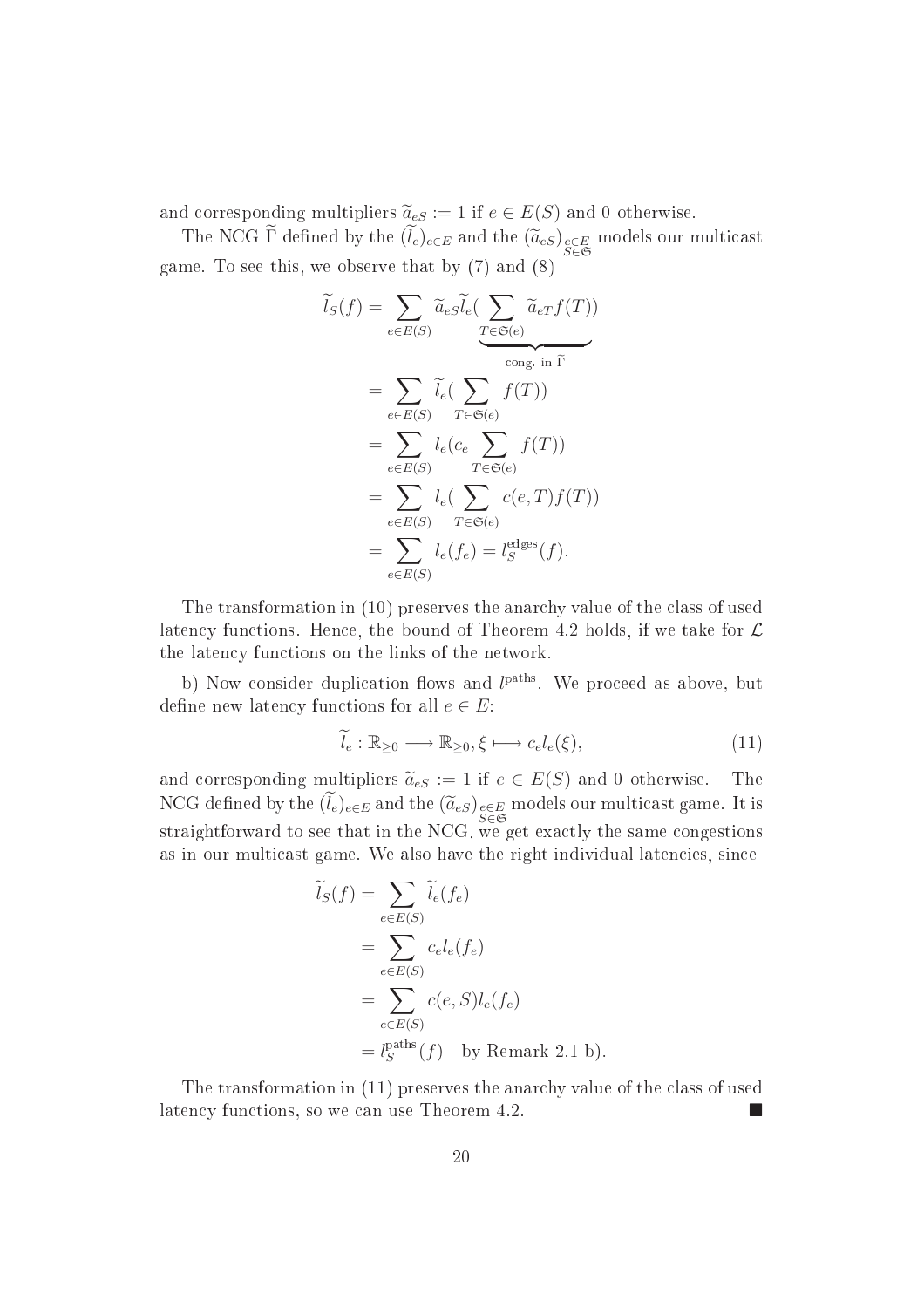and corresponding multipliers  $\tilde{a}_{eS} := 1$  if  $e \in E(S)$  and 0 otherwise.

The NCG  $\Gamma$  defined by the  $(l_e)_{e \in E}$  and the  $(\widetilde{a}_{eS})_{\substack{e \in E \\ S \in \mathfrak{S}}}$  models our multicast game. To see this, we observe that by (7) and (8)

$$
\widetilde{l}_{S}(f) = \sum_{e \in E(S)} \widetilde{a}_{eS} \widetilde{l}_{e} \left( \sum_{T \in \mathfrak{S}(e)} \widetilde{a}_{eT} f(T) \right)
$$
\n
$$
= \sum_{e \in E(S)} \widetilde{l}_{e} \left( \sum_{T \in \mathfrak{S}(e)} f(T) \right)
$$
\n
$$
= \sum_{e \in E(S)} l_{e} \left( c_{e} \sum_{T \in \mathfrak{S}(e)} f(T) \right)
$$
\n
$$
= \sum_{e \in E(S)} l_{e} \left( \sum_{T \in \mathfrak{S}(e)} c(e, T) f(T) \right)
$$
\n
$$
= \sum_{e \in E(S)} l_{e} (f_{e}) = l_{S}^{\text{edges}} (f).
$$

The transformation in (10) preserves the anar
hy value of the lass of used latency functions. Hence, the bound of Theorem 4.2 holds, if we take for  $\mathcal L$ the laten
y fun
tions on the links of the network.

b) Now consider duplication flows and  $l<sup>paths</sup>$ . We proceed as above, but define new latency functions for all  $e \in E$ :

$$
\widetilde{l}_e : \mathbb{R}_{\geq 0} \longrightarrow \mathbb{R}_{\geq 0}, \xi \longmapsto c_e l_e(\xi), \tag{11}
$$

and corresponding multipliers  $\tilde{a}_{eS} := 1$  if  $e \in E(S)$  and 0 otherwise. The NCG defined by the  $(l_e)_{e \in E}$  and the  $(\widetilde{a}_{eS})_{e \in E}$  models our multicast game. It is straightforward to see that in the NCG, we get exactly the same congestions as in our multicast game. We also have the right individual latencies, since

$$
\widetilde{l}_S(f) = \sum_{e \in E(S)} \widetilde{l}_e(f_e)
$$
\n
$$
= \sum_{e \in E(S)} c_e l_e(f_e)
$$
\n
$$
= \sum_{e \in E(S)} c(e, S) l_e(f_e)
$$
\n
$$
= l_S^{\text{paths}}(f) \text{ by Remark 2.1 b}.
$$

The transformation in (11) preserves the anar
hy value of the lass of used laten
y fun
tions, so we an use Theorem 4.2.